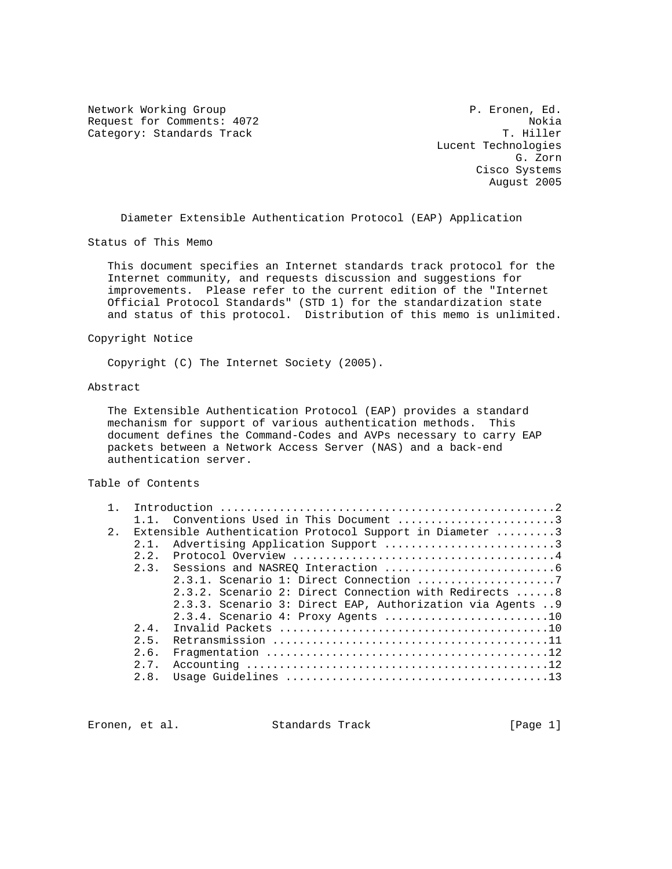Network Working Group **P. Expansion Community** P. Eronen, Ed. Request for Comments: 4072 Nokia<br>Category: Standards Track Nokia Nokia Nokia Nokia Nokia Category: Standards Track

 Lucent Technologies G. Zorn Cisco Systems August 2005

Diameter Extensible Authentication Protocol (EAP) Application

Status of This Memo

 This document specifies an Internet standards track protocol for the Internet community, and requests discussion and suggestions for improvements. Please refer to the current edition of the "Internet Official Protocol Standards" (STD 1) for the standardization state and status of this protocol. Distribution of this memo is unlimited.

#### Copyright Notice

Copyright (C) The Internet Society (2005).

#### Abstract

 The Extensible Authentication Protocol (EAP) provides a standard mechanism for support of various authentication methods. This document defines the Command-Codes and AVPs necessary to carry EAP packets between a Network Access Server (NAS) and a back-end authentication server.

#### Table of Contents

|    |      | 1.1. Conventions Used in This Document 3                  |
|----|------|-----------------------------------------------------------|
| 2. |      | Extensible Authentication Protocol Support in Diameter 3  |
|    | 2.1. | Advertising Application Support 3                         |
|    | 2.2. |                                                           |
|    | 2.3. |                                                           |
|    |      |                                                           |
|    |      | $2.3.2.$ Scenario 2: Direct Connection with Redirects  8  |
|    |      | 2.3.3. Scenario 3: Direct EAP, Authorization via Agents 9 |
|    |      | 2.3.4. Scenario 4: Proxy Agents 10                        |
|    | 2.4. |                                                           |
|    | 2.5. |                                                           |
|    | 2.6. |                                                           |
|    | 2.7. |                                                           |
|    | 2.8. |                                                           |
|    |      |                                                           |

Eronen, et al. Standards Track [Page 1]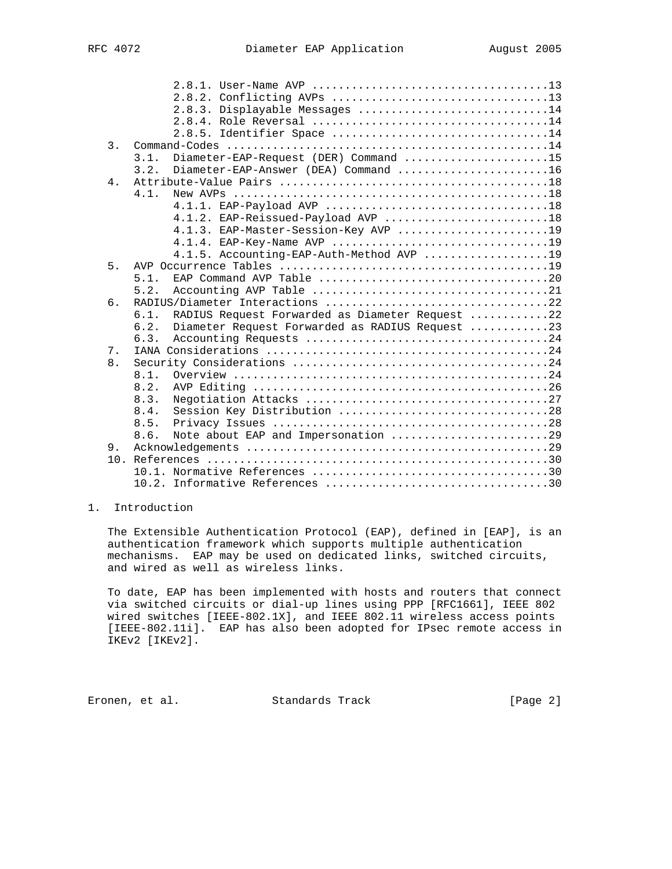|                  |      | 2.8.3. Displayable Messages 14                  |
|------------------|------|-------------------------------------------------|
|                  |      |                                                 |
|                  |      | 2.8.5. Identifier Space 14                      |
| $\overline{3}$ . |      |                                                 |
|                  | 3.1. | Diameter-EAP-Request (DER) Command 15           |
|                  | 3.2. | Diameter-EAP-Answer (DEA) Command 16            |
| 4.               |      |                                                 |
|                  | 4.1. |                                                 |
|                  |      |                                                 |
|                  |      | 4.1.2. EAP-Reissued-Payload AVP 18              |
|                  |      | 4.1.3. EAP-Master-Session-Key AVP 19            |
|                  |      |                                                 |
|                  |      | 4.1.5. Accounting-EAP-Auth-Method AVP 19        |
| 5 <sub>1</sub>   |      |                                                 |
|                  | 5.1. |                                                 |
|                  | 5.2. |                                                 |
| 6.               |      |                                                 |
|                  | 6.1. | RADIUS Request Forwarded as Diameter Request 22 |
|                  | 6.2. | Diameter Request Forwarded as RADIUS Request 23 |
|                  | 6.3. |                                                 |
| 7.               |      |                                                 |
| 8.               |      |                                                 |
|                  | 8.1. |                                                 |
|                  | 8.2. |                                                 |
|                  | 8.3. |                                                 |
|                  | 8.4. |                                                 |
|                  | 8.5. |                                                 |
|                  | 8.6. | Note about EAP and Impersonation 29             |
| 9.               |      |                                                 |
|                  |      |                                                 |
|                  |      |                                                 |
|                  |      |                                                 |

## 1. Introduction

 The Extensible Authentication Protocol (EAP), defined in [EAP], is an authentication framework which supports multiple authentication mechanisms. EAP may be used on dedicated links, switched circuits, and wired as well as wireless links.

 To date, EAP has been implemented with hosts and routers that connect via switched circuits or dial-up lines using PPP [RFC1661], IEEE 802 wired switches [IEEE-802.1X], and IEEE 802.11 wireless access points [IEEE-802.11i]. EAP has also been adopted for IPsec remote access in IKEv2 [IKEv2].

Eronen, et al. Standards Track [Page 2]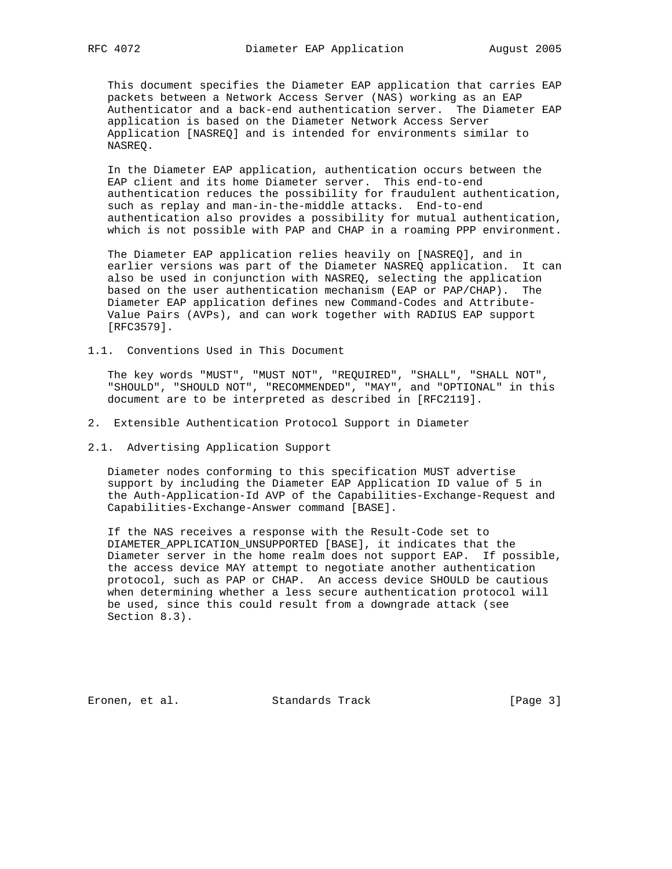This document specifies the Diameter EAP application that carries EAP packets between a Network Access Server (NAS) working as an EAP Authenticator and a back-end authentication server. The Diameter EAP application is based on the Diameter Network Access Server Application [NASREQ] and is intended for environments similar to NASREQ.

 In the Diameter EAP application, authentication occurs between the EAP client and its home Diameter server. This end-to-end authentication reduces the possibility for fraudulent authentication, such as replay and man-in-the-middle attacks. End-to-end authentication also provides a possibility for mutual authentication, which is not possible with PAP and CHAP in a roaming PPP environment.

 The Diameter EAP application relies heavily on [NASREQ], and in earlier versions was part of the Diameter NASREQ application. It can also be used in conjunction with NASREQ, selecting the application based on the user authentication mechanism (EAP or PAP/CHAP). The Diameter EAP application defines new Command-Codes and Attribute- Value Pairs (AVPs), and can work together with RADIUS EAP support [RFC3579].

1.1. Conventions Used in This Document

 The key words "MUST", "MUST NOT", "REQUIRED", "SHALL", "SHALL NOT", "SHOULD", "SHOULD NOT", "RECOMMENDED", "MAY", and "OPTIONAL" in this document are to be interpreted as described in [RFC2119].

- 2. Extensible Authentication Protocol Support in Diameter
- 2.1. Advertising Application Support

 Diameter nodes conforming to this specification MUST advertise support by including the Diameter EAP Application ID value of 5 in the Auth-Application-Id AVP of the Capabilities-Exchange-Request and Capabilities-Exchange-Answer command [BASE].

 If the NAS receives a response with the Result-Code set to DIAMETER\_APPLICATION\_UNSUPPORTED [BASE], it indicates that the Diameter server in the home realm does not support EAP. If possible, the access device MAY attempt to negotiate another authentication protocol, such as PAP or CHAP. An access device SHOULD be cautious when determining whether a less secure authentication protocol will be used, since this could result from a downgrade attack (see Section 8.3).

Eronen, et al. Standards Track [Page 3]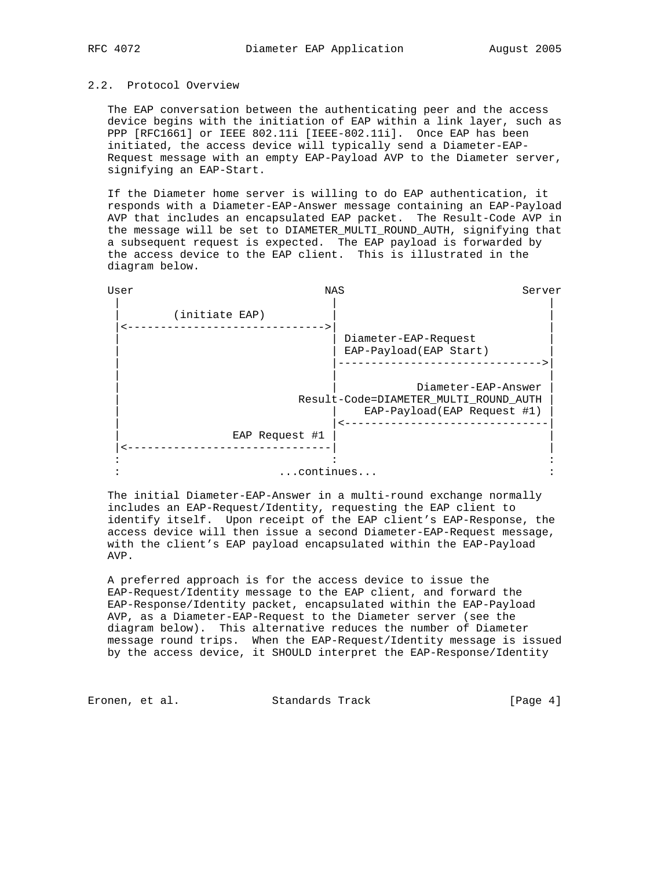#### 2.2. Protocol Overview

 The EAP conversation between the authenticating peer and the access device begins with the initiation of EAP within a link layer, such as PPP [RFC1661] or IEEE 802.11i [IEEE-802.11i]. Once EAP has been initiated, the access device will typically send a Diameter-EAP- Request message with an empty EAP-Payload AVP to the Diameter server, signifying an EAP-Start.

 If the Diameter home server is willing to do EAP authentication, it responds with a Diameter-EAP-Answer message containing an EAP-Payload AVP that includes an encapsulated EAP packet. The Result-Code AVP in the message will be set to DIAMETER MULTI ROUND AUTH, signifying that a subsequent request is expected. The EAP payload is forwarded by the access device to the EAP client. This is illustrated in the diagram below.

| User | NAS            |                                                                                             | Server |
|------|----------------|---------------------------------------------------------------------------------------------|--------|
|      | (initiate EAP) |                                                                                             |        |
|      |                | Diameter-EAP-Request<br>EAP-Payload(EAP Start)                                              |        |
|      |                | Diameter-EAP-Answer<br>Result-Code=DIAMETER_MULTI_ROUND_AUTH<br>EAP-Payload(EAP Request #1) |        |
|      | EAP Request #1 |                                                                                             |        |
|      |                |                                                                                             |        |
|      | continues      |                                                                                             |        |

 The initial Diameter-EAP-Answer in a multi-round exchange normally includes an EAP-Request/Identity, requesting the EAP client to identify itself. Upon receipt of the EAP client's EAP-Response, the access device will then issue a second Diameter-EAP-Request message, with the client's EAP payload encapsulated within the EAP-Payload AVP.

 A preferred approach is for the access device to issue the EAP-Request/Identity message to the EAP client, and forward the EAP-Response/Identity packet, encapsulated within the EAP-Payload AVP, as a Diameter-EAP-Request to the Diameter server (see the diagram below). This alternative reduces the number of Diameter message round trips. When the EAP-Request/Identity message is issued by the access device, it SHOULD interpret the EAP-Response/Identity

Eronen, et al. Standards Track (Page 4)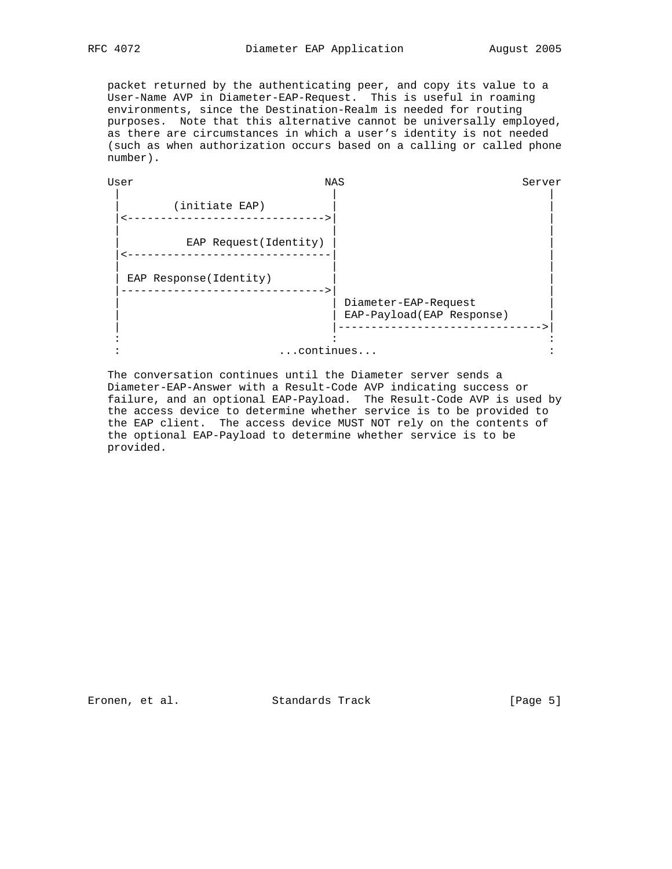packet returned by the authenticating peer, and copy its value to a User-Name AVP in Diameter-EAP-Request. This is useful in roaming environments, since the Destination-Realm is needed for routing purposes. Note that this alternative cannot be universally employed, as there are circumstances in which a user's identity is not needed (such as when authorization occurs based on a calling or called phone number).

| User | NAS                    |                                                   | Server |
|------|------------------------|---------------------------------------------------|--------|
|      | (initiate EAP)         |                                                   |        |
|      | EAP Request (Identity) |                                                   |        |
|      | EAP Response(Identity) |                                                   |        |
|      |                        | Diameter-EAP-Request<br>EAP-Payload(EAP Response) |        |
|      | continues              |                                                   |        |

 The conversation continues until the Diameter server sends a Diameter-EAP-Answer with a Result-Code AVP indicating success or failure, and an optional EAP-Payload. The Result-Code AVP is used by the access device to determine whether service is to be provided to the EAP client. The access device MUST NOT rely on the contents of the optional EAP-Payload to determine whether service is to be provided.

Eronen, et al. Standards Track [Page 5]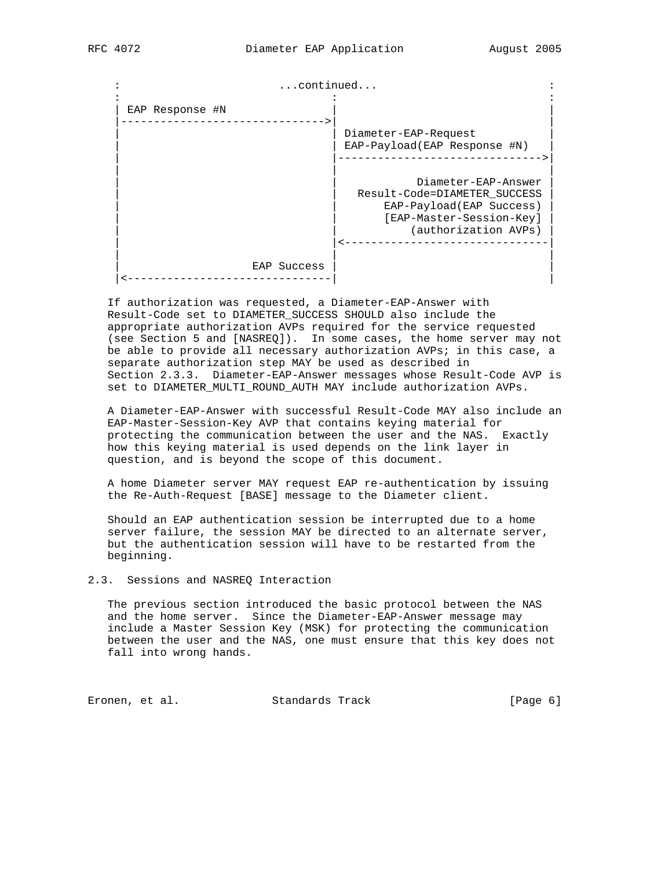: ...continued... : : : : | EAP Response #N | | |------------------------------->| | Diameter-EAP-Request EAP-Payload(EAP Response #N) | |------------------------------->| | | | Diameter-EAP-Answer | | Result-Code=DIAMETER\_SUCCESS | EAP-Payload(EAP Success) [EAP-Master-Session-Key] (authorization AVPs) | |<-------------------------------| | | | EAP Success |<-------------------------------| |

 If authorization was requested, a Diameter-EAP-Answer with Result-Code set to DIAMETER\_SUCCESS SHOULD also include the appropriate authorization AVPs required for the service requested (see Section 5 and [NASREQ]). In some cases, the home server may not be able to provide all necessary authorization AVPs; in this case, a separate authorization step MAY be used as described in Section 2.3.3. Diameter-EAP-Answer messages whose Result-Code AVP is set to DIAMETER\_MULTI\_ROUND\_AUTH MAY include authorization AVPs.

 A Diameter-EAP-Answer with successful Result-Code MAY also include an EAP-Master-Session-Key AVP that contains keying material for protecting the communication between the user and the NAS. Exactly how this keying material is used depends on the link layer in question, and is beyond the scope of this document.

 A home Diameter server MAY request EAP re-authentication by issuing the Re-Auth-Request [BASE] message to the Diameter client.

 Should an EAP authentication session be interrupted due to a home server failure, the session MAY be directed to an alternate server, but the authentication session will have to be restarted from the beginning.

2.3. Sessions and NASREQ Interaction

 The previous section introduced the basic protocol between the NAS and the home server. Since the Diameter-EAP-Answer message may include a Master Session Key (MSK) for protecting the communication between the user and the NAS, one must ensure that this key does not fall into wrong hands.

Eronen, et al. Standards Track (Page 6)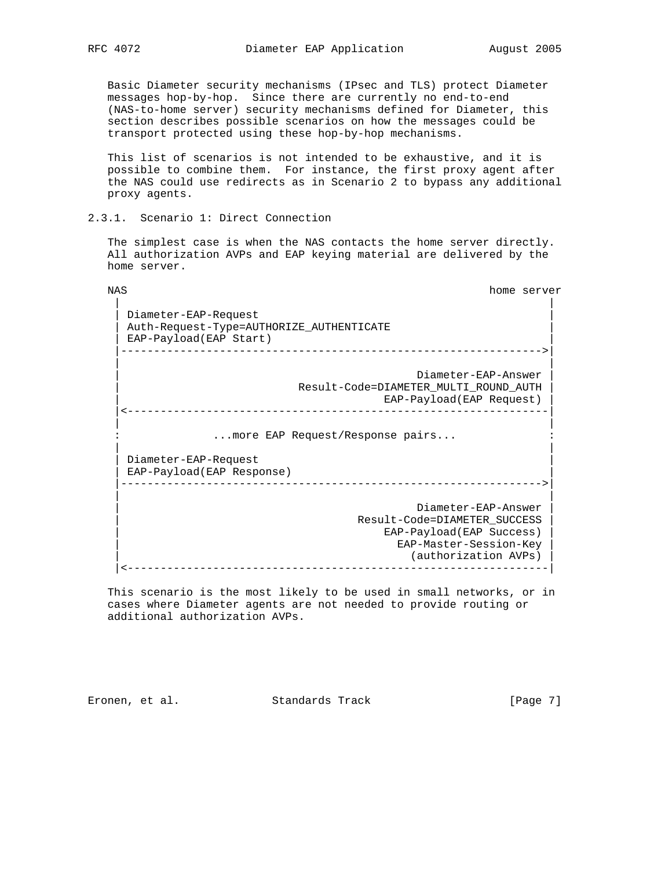Basic Diameter security mechanisms (IPsec and TLS) protect Diameter messages hop-by-hop. Since there are currently no end-to-end (NAS-to-home server) security mechanisms defined for Diameter, this section describes possible scenarios on how the messages could be transport protected using these hop-by-hop mechanisms.

 This list of scenarios is not intended to be exhaustive, and it is possible to combine them. For instance, the first proxy agent after the NAS could use redirects as in Scenario 2 to bypass any additional proxy agents.

2.3.1. Scenario 1: Direct Connection

 The simplest case is when the NAS contacts the home server directly. All authorization AVPs and EAP keying material are delivered by the home server.

 NAS home server | | Diameter-EAP-Request | Auth-Request-Type=AUTHORIZE\_AUTHENTICATE | EAP-Payload(EAP Start) |---------------------------------------------------------------->| | | | Diameter-EAP-Answer | | Result-Code=DIAMETER\_MULTI\_ROUND\_AUTH | EAP-Payload(EAP Request) |<----------------------------------------------------------------| | | ...more EAP Request/Response pairs... | | Diameter-EAP-Request | EAP-Payload(EAP Response) | |---------------------------------------------------------------->| | | Diameter-EAP-Answer | Result-Code=DIAMETER\_SUCCESS | EAP-Payload(EAP Success) | EAP-Master-Session-Key | (authorization AVPs)

 This scenario is the most likely to be used in small networks, or in cases where Diameter agents are not needed to provide routing or additional authorization AVPs.

|<----------------------------------------------------------------|

Eronen, et al. Standards Track (Page 7)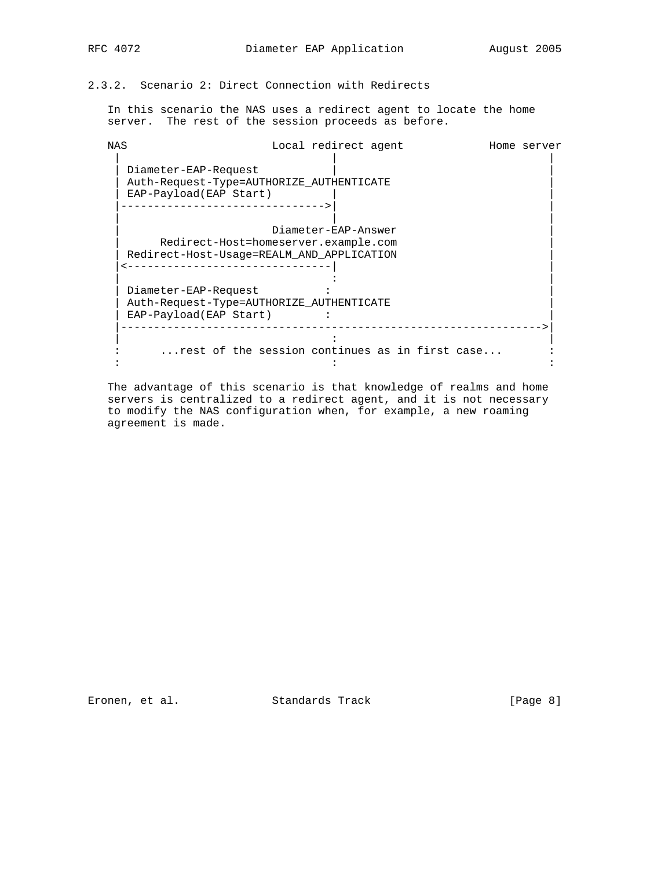# 2.3.2. Scenario 2: Direct Connection with Redirects

 In this scenario the NAS uses a redirect agent to locate the home server. The rest of the session proceeds as before.

| NAS                                       |                                      | Local redirect agent |                                                | Home server |
|-------------------------------------------|--------------------------------------|----------------------|------------------------------------------------|-------------|
| Diameter-EAP-Request                      |                                      |                      |                                                |             |
| Auth-Request-Type=AUTHORIZE AUTHENTICATE  |                                      |                      |                                                |             |
| EAP-Payload(EAP Start)                    |                                      |                      |                                                |             |
|                                           |                                      |                      |                                                |             |
|                                           |                                      |                      |                                                |             |
|                                           |                                      | Diameter-EAP-Answer  |                                                |             |
|                                           | Redirect-Host=homeserver.example.com |                      |                                                |             |
| Redirect-Host-Usage=REALM AND APPLICATION |                                      |                      |                                                |             |
|                                           |                                      |                      |                                                |             |
|                                           |                                      |                      |                                                |             |
| Diameter-EAP-Request                      |                                      |                      |                                                |             |
| Auth-Request-Type=AUTHORIZE AUTHENTICATE  |                                      |                      |                                                |             |
| EAP-Payload(EAP Start)                    |                                      |                      |                                                |             |
|                                           |                                      |                      |                                                |             |
|                                           |                                      |                      |                                                |             |
|                                           |                                      |                      | rest of the session continues as in first case |             |
|                                           |                                      |                      |                                                |             |
|                                           |                                      |                      |                                                |             |

 The advantage of this scenario is that knowledge of realms and home servers is centralized to a redirect agent, and it is not necessary to modify the NAS configuration when, for example, a new roaming agreement is made.

Eronen, et al. Standards Track [Page 8]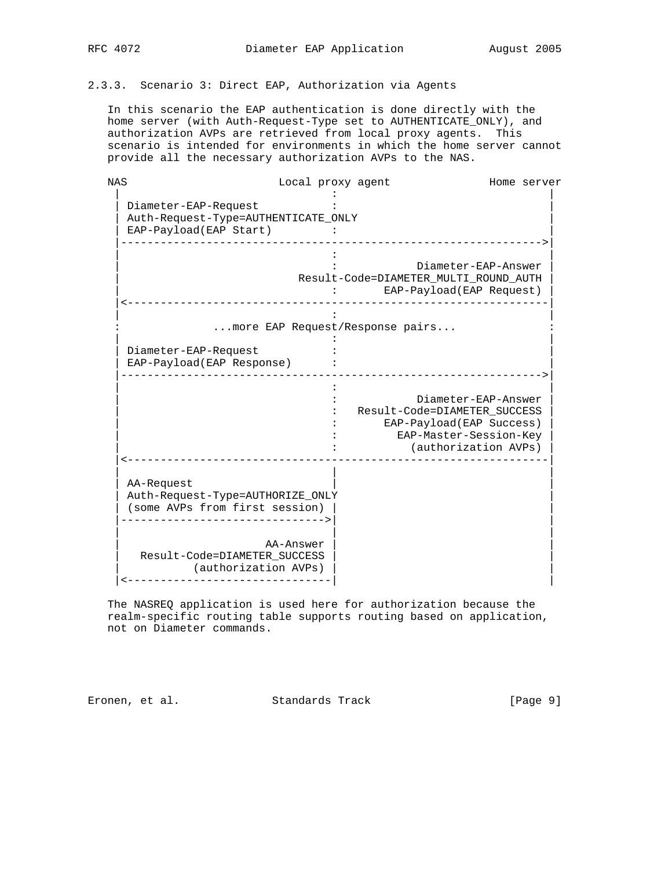## 2.3.3. Scenario 3: Direct EAP, Authorization via Agents

 In this scenario the EAP authentication is done directly with the home server (with Auth-Request-Type set to AUTHENTICATE\_ONLY), and authorization AVPs are retrieved from local proxy agents. This scenario is intended for environments in which the home server cannot provide all the necessary authorization AVPs to the NAS.

| <b>NAS</b>                          |                                 | Local proxy agent |                                       | Home server |
|-------------------------------------|---------------------------------|-------------------|---------------------------------------|-------------|
|                                     |                                 |                   |                                       |             |
| Diameter-EAP-Request                |                                 |                   |                                       |             |
| Auth-Request-Type=AUTHENTICATE_ONLY |                                 |                   |                                       |             |
| EAP-Payload(EAP Start)              |                                 |                   |                                       |             |
|                                     |                                 |                   |                                       |             |
|                                     |                                 |                   | Diameter-EAP-Answer                   |             |
|                                     |                                 |                   | Result-Code=DIAMETER_MULTI_ROUND_AUTH |             |
|                                     |                                 |                   | EAP-Payload(EAP Request)              |             |
|                                     |                                 |                   |                                       |             |
|                                     |                                 |                   |                                       |             |
|                                     | more EAP Request/Response pairs |                   |                                       |             |
|                                     |                                 |                   |                                       |             |
| Diameter-EAP-Request                |                                 |                   |                                       |             |
| EAP-Payload(EAP Response)           |                                 |                   |                                       |             |
|                                     |                                 |                   |                                       |             |
|                                     |                                 |                   |                                       |             |
|                                     |                                 |                   | Diameter-EAP-Answer                   |             |
|                                     |                                 |                   | Result-Code=DIAMETER_SUCCESS          |             |
|                                     |                                 |                   | EAP-Payload(EAP Success)              |             |
|                                     |                                 |                   | EAP-Master-Session-Key                |             |
|                                     |                                 |                   | (authorization AVPs)                  |             |
|                                     |                                 |                   |                                       |             |
| AA-Request                          |                                 |                   |                                       |             |
| Auth-Request-Type=AUTHORIZE_ONLY    |                                 |                   |                                       |             |
| (some AVPs from first session)      |                                 |                   |                                       |             |
|                                     | __________________________      |                   |                                       |             |
|                                     |                                 |                   |                                       |             |
|                                     | AA-Answer                       |                   |                                       |             |
|                                     | Result-Code=DIAMETER SUCCESS    |                   |                                       |             |
|                                     | (authorization AVPs)            |                   |                                       |             |
|                                     | -------------                   |                   |                                       |             |
|                                     |                                 |                   |                                       |             |

 The NASREQ application is used here for authorization because the realm-specific routing table supports routing based on application, not on Diameter commands.

Eronen, et al. Standards Track [Page 9]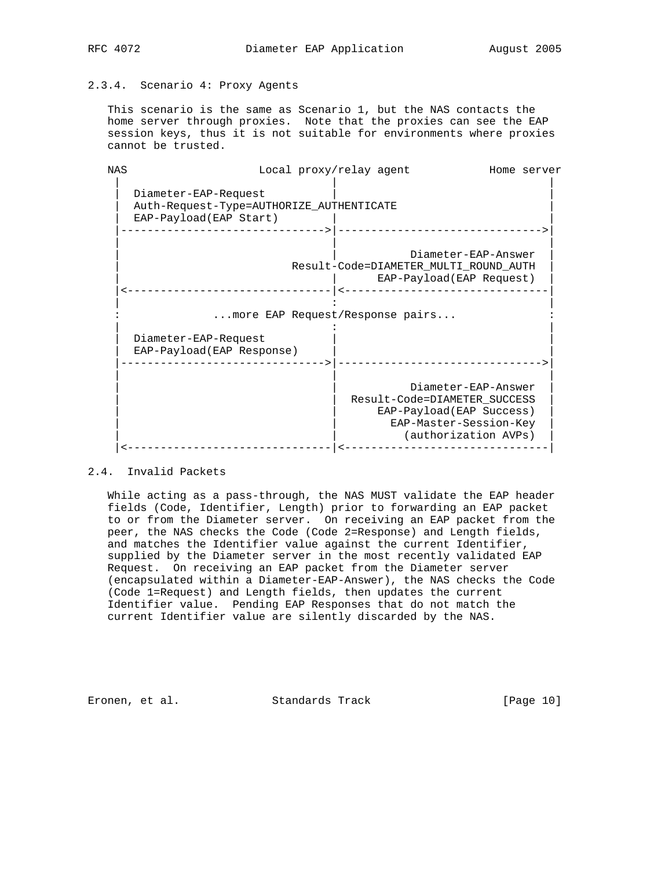## 2.3.4. Scenario 4: Proxy Agents

 This scenario is the same as Scenario 1, but the NAS contacts the home server through proxies. Note that the proxies can see the EAP session keys, thus it is not suitable for environments where proxies cannot be trusted.

| <b>NAS</b> | Local proxy/relay agent                                                                    |                                                                                                                                   | Home server |
|------------|--------------------------------------------------------------------------------------------|-----------------------------------------------------------------------------------------------------------------------------------|-------------|
|            | Diameter-EAP-Request<br>Auth-Request-Type=AUTHORIZE AUTHENTICATE<br>EAP-Payload(EAP Start) |                                                                                                                                   |             |
|            |                                                                                            | Diameter-EAP-Answer<br>Result-Code=DIAMETER MULTI ROUND AUTH<br>EAP-Payload(EAP Request)                                          |             |
|            | more EAP Request/Response pairs                                                            |                                                                                                                                   |             |
|            | Diameter-EAP-Request<br>EAP-Payload(EAP Response)                                          |                                                                                                                                   |             |
|            |                                                                                            | Diameter-EAP-Answer<br>Result-Code=DIAMETER SUCCESS<br>EAP-Payload(EAP Success)<br>EAP-Master-Session-Key<br>(authorization AVPs) |             |
|            |                                                                                            |                                                                                                                                   |             |

## 2.4. Invalid Packets

 While acting as a pass-through, the NAS MUST validate the EAP header fields (Code, Identifier, Length) prior to forwarding an EAP packet to or from the Diameter server. On receiving an EAP packet from the peer, the NAS checks the Code (Code 2=Response) and Length fields, and matches the Identifier value against the current Identifier, supplied by the Diameter server in the most recently validated EAP Request. On receiving an EAP packet from the Diameter server (encapsulated within a Diameter-EAP-Answer), the NAS checks the Code (Code 1=Request) and Length fields, then updates the current Identifier value. Pending EAP Responses that do not match the current Identifier value are silently discarded by the NAS.

Eronen, et al. Standards Track [Page 10]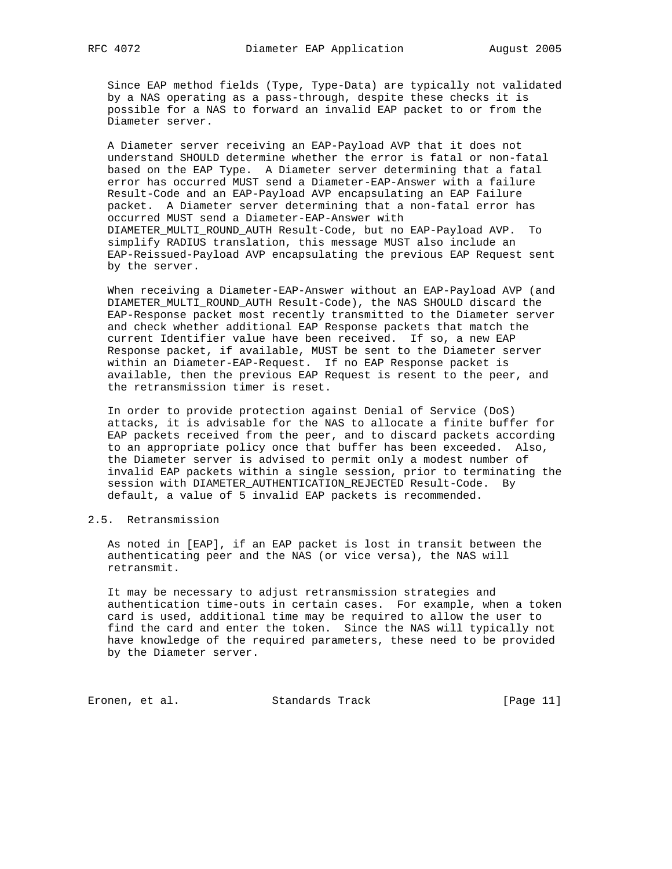Since EAP method fields (Type, Type-Data) are typically not validated by a NAS operating as a pass-through, despite these checks it is possible for a NAS to forward an invalid EAP packet to or from the Diameter server.

 A Diameter server receiving an EAP-Payload AVP that it does not understand SHOULD determine whether the error is fatal or non-fatal based on the EAP Type. A Diameter server determining that a fatal error has occurred MUST send a Diameter-EAP-Answer with a failure Result-Code and an EAP-Payload AVP encapsulating an EAP Failure packet. A Diameter server determining that a non-fatal error has occurred MUST send a Diameter-EAP-Answer with DIAMETER\_MULTI\_ROUND\_AUTH Result-Code, but no EAP-Payload AVP. To simplify RADIUS translation, this message MUST also include an EAP-Reissued-Payload AVP encapsulating the previous EAP Request sent by the server.

 When receiving a Diameter-EAP-Answer without an EAP-Payload AVP (and DIAMETER\_MULTI\_ROUND\_AUTH Result-Code), the NAS SHOULD discard the EAP-Response packet most recently transmitted to the Diameter server and check whether additional EAP Response packets that match the current Identifier value have been received. If so, a new EAP Response packet, if available, MUST be sent to the Diameter server within an Diameter-EAP-Request. If no EAP Response packet is available, then the previous EAP Request is resent to the peer, and the retransmission timer is reset.

 In order to provide protection against Denial of Service (DoS) attacks, it is advisable for the NAS to allocate a finite buffer for EAP packets received from the peer, and to discard packets according to an appropriate policy once that buffer has been exceeded. Also, the Diameter server is advised to permit only a modest number of invalid EAP packets within a single session, prior to terminating the session with DIAMETER AUTHENTICATION REJECTED Result-Code. By default, a value of 5 invalid EAP packets is recommended.

## 2.5. Retransmission

 As noted in [EAP], if an EAP packet is lost in transit between the authenticating peer and the NAS (or vice versa), the NAS will retransmit.

 It may be necessary to adjust retransmission strategies and authentication time-outs in certain cases. For example, when a token card is used, additional time may be required to allow the user to find the card and enter the token. Since the NAS will typically not have knowledge of the required parameters, these need to be provided by the Diameter server.

Eronen, et al. Standards Track [Page 11]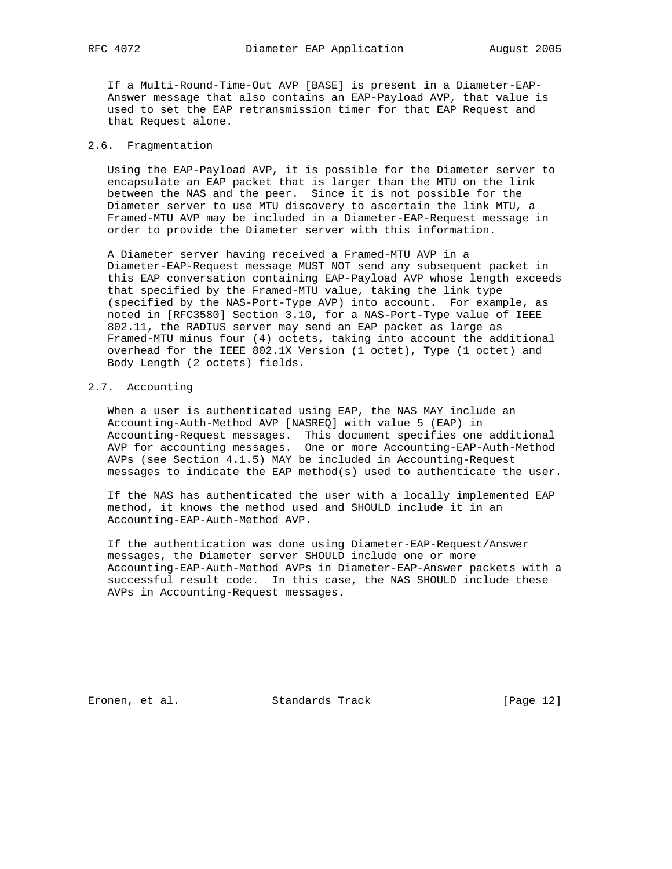If a Multi-Round-Time-Out AVP [BASE] is present in a Diameter-EAP- Answer message that also contains an EAP-Payload AVP, that value is used to set the EAP retransmission timer for that EAP Request and that Request alone.

#### 2.6. Fragmentation

 Using the EAP-Payload AVP, it is possible for the Diameter server to encapsulate an EAP packet that is larger than the MTU on the link between the NAS and the peer. Since it is not possible for the Diameter server to use MTU discovery to ascertain the link MTU, a Framed-MTU AVP may be included in a Diameter-EAP-Request message in order to provide the Diameter server with this information.

 A Diameter server having received a Framed-MTU AVP in a Diameter-EAP-Request message MUST NOT send any subsequent packet in this EAP conversation containing EAP-Payload AVP whose length exceeds that specified by the Framed-MTU value, taking the link type (specified by the NAS-Port-Type AVP) into account. For example, as noted in [RFC3580] Section 3.10, for a NAS-Port-Type value of IEEE 802.11, the RADIUS server may send an EAP packet as large as Framed-MTU minus four (4) octets, taking into account the additional overhead for the IEEE 802.1X Version (1 octet), Type (1 octet) and Body Length (2 octets) fields.

#### 2.7. Accounting

 When a user is authenticated using EAP, the NAS MAY include an Accounting-Auth-Method AVP [NASREQ] with value 5 (EAP) in Accounting-Request messages. This document specifies one additional AVP for accounting messages. One or more Accounting-EAP-Auth-Method AVPs (see Section 4.1.5) MAY be included in Accounting-Request messages to indicate the EAP method(s) used to authenticate the user.

 If the NAS has authenticated the user with a locally implemented EAP method, it knows the method used and SHOULD include it in an Accounting-EAP-Auth-Method AVP.

 If the authentication was done using Diameter-EAP-Request/Answer messages, the Diameter server SHOULD include one or more Accounting-EAP-Auth-Method AVPs in Diameter-EAP-Answer packets with a successful result code. In this case, the NAS SHOULD include these AVPs in Accounting-Request messages.

Eronen, et al. Standards Track [Page 12]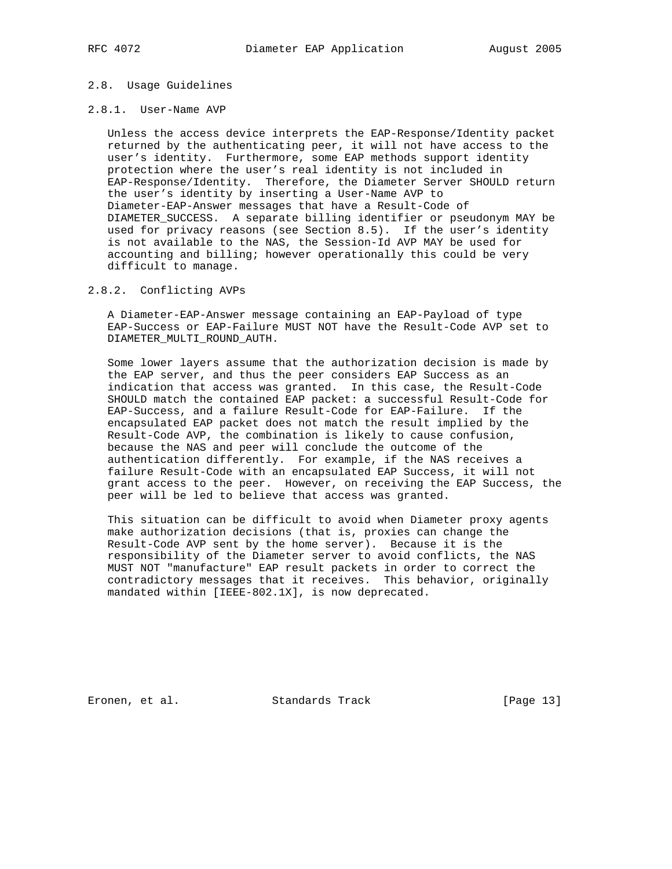## 2.8. Usage Guidelines

#### 2.8.1. User-Name AVP

 Unless the access device interprets the EAP-Response/Identity packet returned by the authenticating peer, it will not have access to the user's identity. Furthermore, some EAP methods support identity protection where the user's real identity is not included in EAP-Response/Identity. Therefore, the Diameter Server SHOULD return the user's identity by inserting a User-Name AVP to Diameter-EAP-Answer messages that have a Result-Code of DIAMETER\_SUCCESS. A separate billing identifier or pseudonym MAY be used for privacy reasons (see Section 8.5). If the user's identity is not available to the NAS, the Session-Id AVP MAY be used for accounting and billing; however operationally this could be very difficult to manage.

#### 2.8.2. Conflicting AVPs

 A Diameter-EAP-Answer message containing an EAP-Payload of type EAP-Success or EAP-Failure MUST NOT have the Result-Code AVP set to DIAMETER\_MULTI\_ROUND\_AUTH.

 Some lower layers assume that the authorization decision is made by the EAP server, and thus the peer considers EAP Success as an indication that access was granted. In this case, the Result-Code SHOULD match the contained EAP packet: a successful Result-Code for EAP-Success, and a failure Result-Code for EAP-Failure. If the encapsulated EAP packet does not match the result implied by the Result-Code AVP, the combination is likely to cause confusion, because the NAS and peer will conclude the outcome of the authentication differently. For example, if the NAS receives a failure Result-Code with an encapsulated EAP Success, it will not grant access to the peer. However, on receiving the EAP Success, the peer will be led to believe that access was granted.

 This situation can be difficult to avoid when Diameter proxy agents make authorization decisions (that is, proxies can change the Result-Code AVP sent by the home server). Because it is the responsibility of the Diameter server to avoid conflicts, the NAS MUST NOT "manufacture" EAP result packets in order to correct the contradictory messages that it receives. This behavior, originally mandated within [IEEE-802.1X], is now deprecated.

Eronen, et al. Standards Track [Page 13]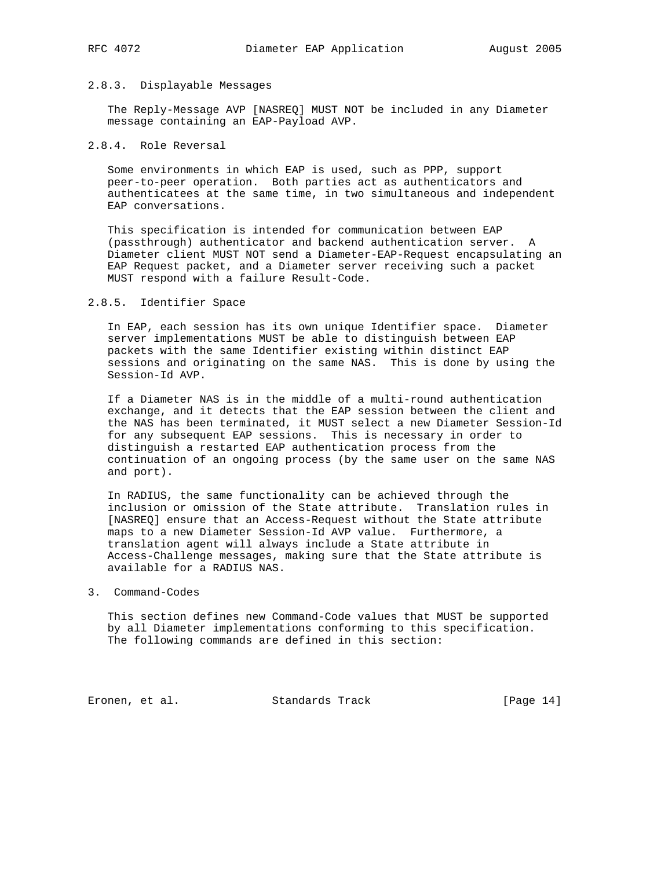#### 2.8.3. Displayable Messages

 The Reply-Message AVP [NASREQ] MUST NOT be included in any Diameter message containing an EAP-Payload AVP.

## 2.8.4. Role Reversal

 Some environments in which EAP is used, such as PPP, support peer-to-peer operation. Both parties act as authenticators and authenticatees at the same time, in two simultaneous and independent EAP conversations.

 This specification is intended for communication between EAP (passthrough) authenticator and backend authentication server. A Diameter client MUST NOT send a Diameter-EAP-Request encapsulating an EAP Request packet, and a Diameter server receiving such a packet MUST respond with a failure Result-Code.

## 2.8.5. Identifier Space

 In EAP, each session has its own unique Identifier space. Diameter server implementations MUST be able to distinguish between EAP packets with the same Identifier existing within distinct EAP sessions and originating on the same NAS. This is done by using the Session-Id AVP.

 If a Diameter NAS is in the middle of a multi-round authentication exchange, and it detects that the EAP session between the client and the NAS has been terminated, it MUST select a new Diameter Session-Id for any subsequent EAP sessions. This is necessary in order to distinguish a restarted EAP authentication process from the continuation of an ongoing process (by the same user on the same NAS and port).

 In RADIUS, the same functionality can be achieved through the inclusion or omission of the State attribute. Translation rules in [NASREQ] ensure that an Access-Request without the State attribute maps to a new Diameter Session-Id AVP value. Furthermore, a translation agent will always include a State attribute in Access-Challenge messages, making sure that the State attribute is available for a RADIUS NAS.

#### 3. Command-Codes

 This section defines new Command-Code values that MUST be supported by all Diameter implementations conforming to this specification. The following commands are defined in this section:

Eronen, et al. Standards Track [Page 14]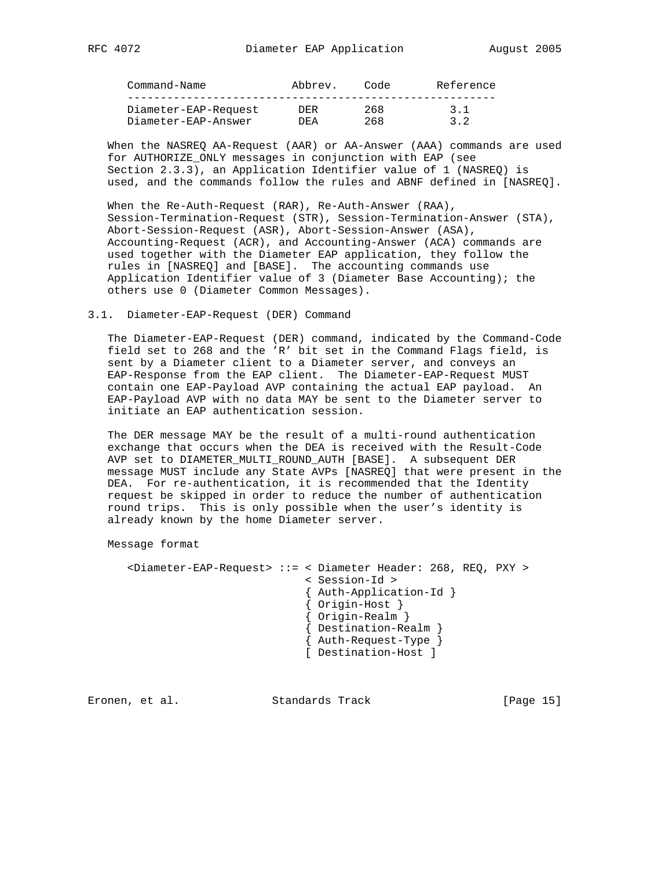| Command-Name         | Abbrev. | Code | Reference |
|----------------------|---------|------|-----------|
|                      |         |      |           |
| Diameter-EAP-Request | DER.    | 268  | 3.1       |
| Diameter-EAP-Answer  | DF.A    | 268  | 3.2       |

 When the NASREQ AA-Request (AAR) or AA-Answer (AAA) commands are used for AUTHORIZE\_ONLY messages in conjunction with EAP (see Section 2.3.3), an Application Identifier value of 1 (NASREQ) is used, and the commands follow the rules and ABNF defined in [NASREQ].

 When the Re-Auth-Request (RAR), Re-Auth-Answer (RAA), Session-Termination-Request (STR), Session-Termination-Answer (STA), Abort-Session-Request (ASR), Abort-Session-Answer (ASA), Accounting-Request (ACR), and Accounting-Answer (ACA) commands are used together with the Diameter EAP application, they follow the rules in [NASREQ] and [BASE]. The accounting commands use Application Identifier value of 3 (Diameter Base Accounting); the others use 0 (Diameter Common Messages).

#### 3.1. Diameter-EAP-Request (DER) Command

 The Diameter-EAP-Request (DER) command, indicated by the Command-Code field set to 268 and the 'R' bit set in the Command Flags field, is sent by a Diameter client to a Diameter server, and conveys an EAP-Response from the EAP client. The Diameter-EAP-Request MUST contain one EAP-Payload AVP containing the actual EAP payload. An EAP-Payload AVP with no data MAY be sent to the Diameter server to initiate an EAP authentication session.

 The DER message MAY be the result of a multi-round authentication exchange that occurs when the DEA is received with the Result-Code AVP set to DIAMETER\_MULTI\_ROUND\_AUTH [BASE]. A subsequent DER message MUST include any State AVPs [NASREQ] that were present in the DEA. For re-authentication, it is recommended that the Identity request be skipped in order to reduce the number of authentication round trips. This is only possible when the user's identity is already known by the home Diameter server.

Message format

 <Diameter-EAP-Request> ::= < Diameter Header: 268, REQ, PXY > < Session-Id > { Auth-Application-Id } { Origin-Host } { Origin-Realm } { Destination-Realm } { Auth-Request-Type } [ Destination-Host ]

Eronen, et al. Standards Track [Page 15]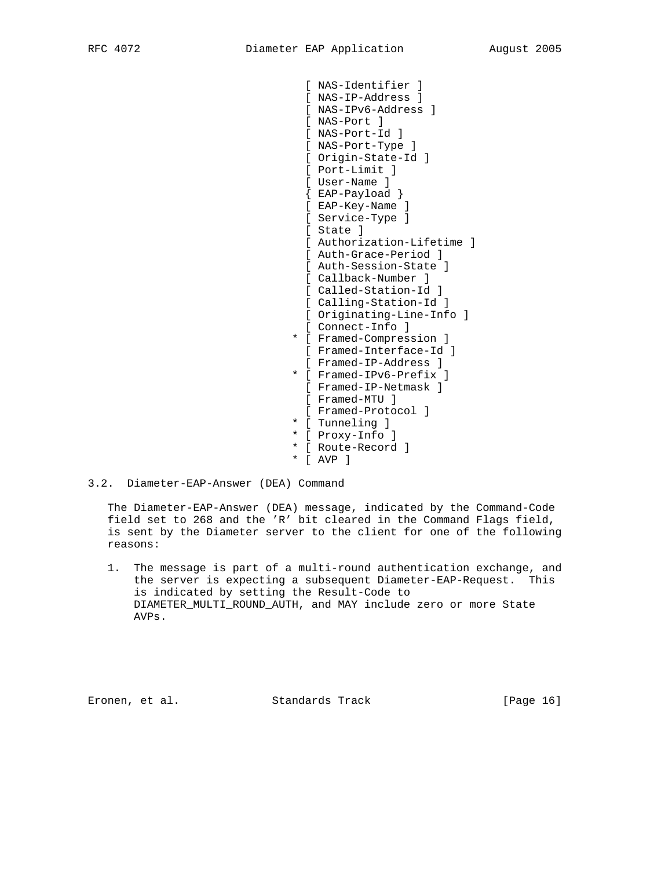```
 [ NAS-Identifier ]
  [ NAS-IP-Address ]
  [ NAS-IPv6-Address ]
  [ NAS-Port ]
  [ NAS-Port-Id ]
 [ NAS-Port-Type ]
 [ Origin-State-Id ]
 [ Port-Limit ]
 [ User-Name ]
  { EAP-Payload }
  [ EAP-Key-Name ]
 [ Service-Type ]
 [ State ]
  [ Authorization-Lifetime ]
  [ Auth-Grace-Period ]
 [ Auth-Session-State ]
  [ Callback-Number ]
 [ Called-Station-Id ]
 [ Calling-Station-Id ]
 [ Originating-Line-Info ]
 [ Connect-Info ]
* [ Framed-Compression ]
 [ Framed-Interface-Id ]
 [ Framed-IP-Address ]
* [ Framed-IPv6-Prefix ]
 [ Framed-IP-Netmask ]
  [ Framed-MTU ]
 [ Framed-Protocol ]
* [ Tunneling ]
* [ Proxy-Info ]
* [ Route-Record ]
* [ AVP ]
```
## 3.2. Diameter-EAP-Answer (DEA) Command

 The Diameter-EAP-Answer (DEA) message, indicated by the Command-Code field set to 268 and the 'R' bit cleared in the Command Flags field, is sent by the Diameter server to the client for one of the following reasons:

 1. The message is part of a multi-round authentication exchange, and the server is expecting a subsequent Diameter-EAP-Request. This is indicated by setting the Result-Code to DIAMETER\_MULTI\_ROUND\_AUTH, and MAY include zero or more State AVPs.

Eronen, et al. Standards Track [Page 16]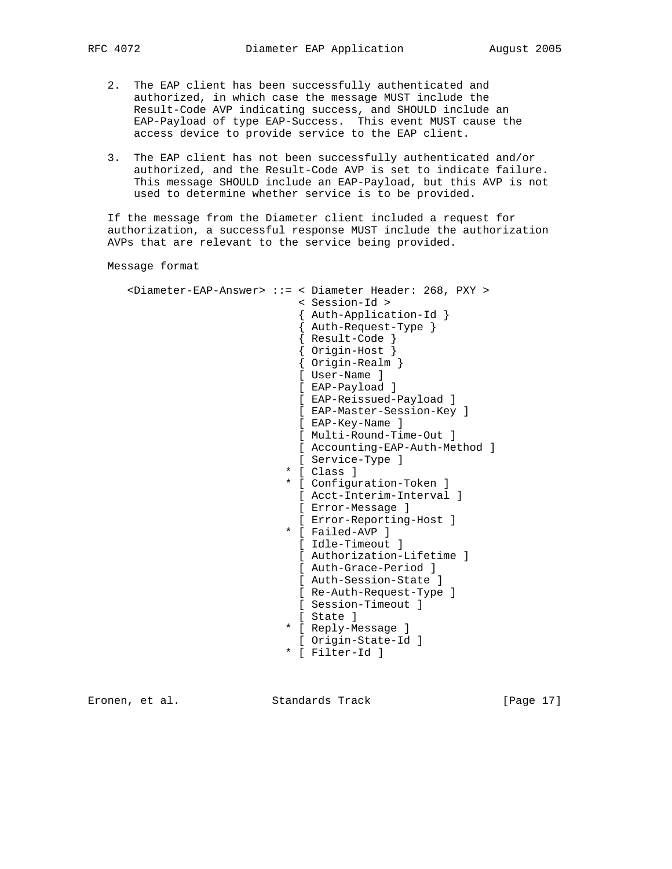- 2. The EAP client has been successfully authenticated and authorized, in which case the message MUST include the Result-Code AVP indicating success, and SHOULD include an EAP-Payload of type EAP-Success. This event MUST cause the access device to provide service to the EAP client.
- 3. The EAP client has not been successfully authenticated and/or authorized, and the Result-Code AVP is set to indicate failure. This message SHOULD include an EAP-Payload, but this AVP is not used to determine whether service is to be provided.

 If the message from the Diameter client included a request for authorization, a successful response MUST include the authorization AVPs that are relevant to the service being provided.

Message format

 <Diameter-EAP-Answer> ::= < Diameter Header: 268, PXY > < Session-Id > { Auth-Application-Id } { Auth-Request-Type } { Result-Code } { Origin-Host } { Origin-Realm } [ User-Name ] [ EAP-Payload ] [ EAP-Reissued-Payload ] [ EAP-Master-Session-Key ] [ EAP-Key-Name ] [ Multi-Round-Time-Out ] [ Accounting-EAP-Auth-Method ] [ Service-Type ] \* [ Class ] \* [ Configuration-Token ] [ Acct-Interim-Interval ] [ Error-Message ] [ Error-Reporting-Host ] \* [ Failed-AVP ] [ Idle-Timeout ] [ Authorization-Lifetime ] [ Auth-Grace-Period ] [ Auth-Session-State ] [ Re-Auth-Request-Type ] [ Session-Timeout ] [ State ] \* [ Reply-Message ] [ Origin-State-Id ] \* [ Filter-Id ]

Eronen, et al. Standards Track [Page 17]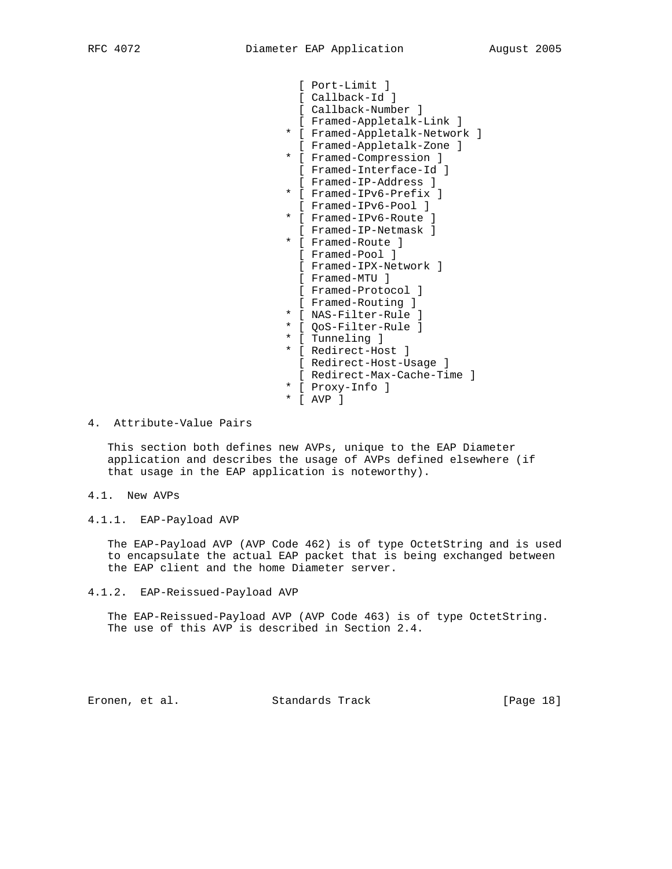[ Port-Limit ] [ Callback-Id ] [ Callback-Number ] [ Framed-Appletalk-Link ] \* [ Framed-Appletalk-Network ] [ Framed-Appletalk-Zone ] \* [ Framed-Compression ] [ Framed-Interface-Id ] [ Framed-IP-Address ] \* [ Framed-IPv6-Prefix ] [ Framed-IPv6-Pool ] \* [ Framed-IPv6-Route ] [ Framed-IP-Netmask ] \* [ Framed-Route ] [ Framed-Pool ] [ Framed-IPX-Network ] [ Framed-MTU ] [ Framed-Protocol ] [ Framed-Routing ] \* [ NAS-Filter-Rule ] \* [ QoS-Filter-Rule ] \* [ Tunneling ] \* [ Redirect-Host ] [ Redirect-Host-Usage ] [ Redirect-Max-Cache-Time ] \* [ Proxy-Info ] \* [ AVP ]

4. Attribute-Value Pairs

 This section both defines new AVPs, unique to the EAP Diameter application and describes the usage of AVPs defined elsewhere (if that usage in the EAP application is noteworthy).

- 4.1. New AVPs
- 4.1.1. EAP-Payload AVP

 The EAP-Payload AVP (AVP Code 462) is of type OctetString and is used to encapsulate the actual EAP packet that is being exchanged between the EAP client and the home Diameter server.

4.1.2. EAP-Reissued-Payload AVP

 The EAP-Reissued-Payload AVP (AVP Code 463) is of type OctetString. The use of this AVP is described in Section 2.4.

Eronen, et al. Standards Track [Page 18]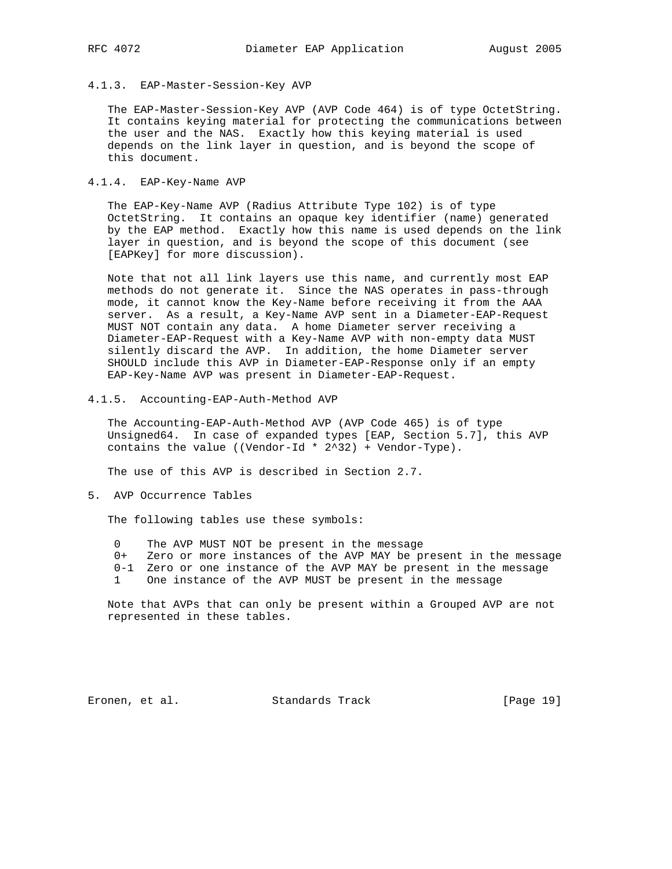#### 4.1.3. EAP-Master-Session-Key AVP

 The EAP-Master-Session-Key AVP (AVP Code 464) is of type OctetString. It contains keying material for protecting the communications between the user and the NAS. Exactly how this keying material is used depends on the link layer in question, and is beyond the scope of this document.

#### 4.1.4. EAP-Key-Name AVP

 The EAP-Key-Name AVP (Radius Attribute Type 102) is of type OctetString. It contains an opaque key identifier (name) generated by the EAP method. Exactly how this name is used depends on the link layer in question, and is beyond the scope of this document (see [EAPKey] for more discussion).

 Note that not all link layers use this name, and currently most EAP methods do not generate it. Since the NAS operates in pass-through mode, it cannot know the Key-Name before receiving it from the AAA server. As a result, a Key-Name AVP sent in a Diameter-EAP-Request MUST NOT contain any data. A home Diameter server receiving a Diameter-EAP-Request with a Key-Name AVP with non-empty data MUST silently discard the AVP. In addition, the home Diameter server SHOULD include this AVP in Diameter-EAP-Response only if an empty EAP-Key-Name AVP was present in Diameter-EAP-Request.

4.1.5. Accounting-EAP-Auth-Method AVP

 The Accounting-EAP-Auth-Method AVP (AVP Code 465) is of type Unsigned64. In case of expanded types [EAP, Section 5.7], this AVP contains the value ((Vendor-Id \* 2^32) + Vendor-Type).

The use of this AVP is described in Section 2.7.

5. AVP Occurrence Tables

The following tables use these symbols:

- 0 The AVP MUST NOT be present in the message
- 0+ Zero or more instances of the AVP MAY be present in the message
- 0-1 Zero or one instance of the AVP MAY be present in the message
- 1 One instance of the AVP MUST be present in the message

 Note that AVPs that can only be present within a Grouped AVP are not represented in these tables.

Eronen, et al. Standards Track [Page 19]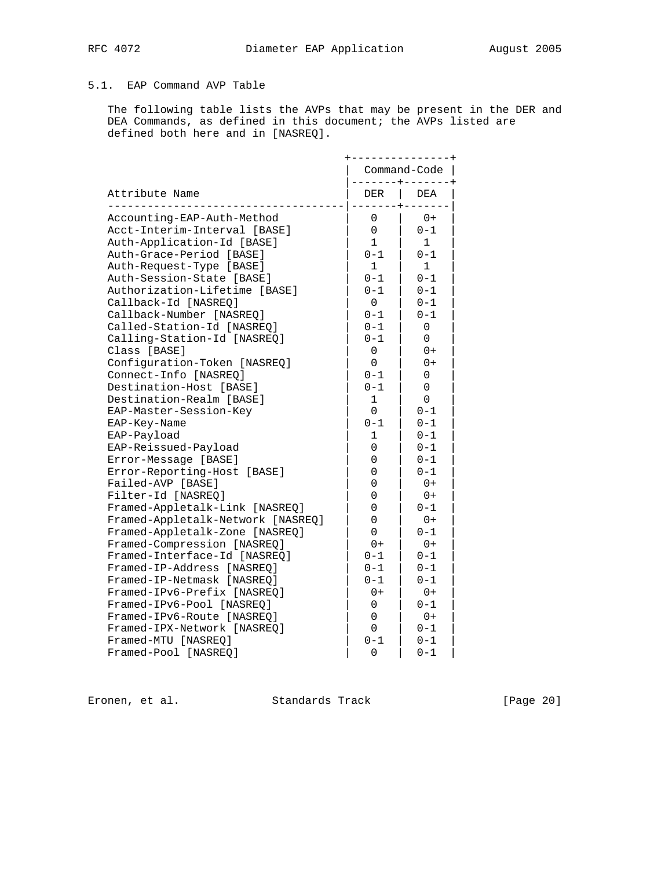# 5.1. EAP Command AVP Table

 The following table lists the AVPs that may be present in the DER and DEA Commands, as defined in this document; the AVPs listed are defined both here and in [NASREQ].

|                                   |                     | Command-Code |
|-----------------------------------|---------------------|--------------|
| Attribute Name                    | -------+----<br>DER | DEA          |
| Accounting-EAP-Auth-Method        | 0                   | $0+$         |
| Acct-Interim-Interval [BASE]      | 0                   | $0 - 1$      |
| Auth-Application-Id [BASE]        | $\mathbf{1}$        | $\mathbf{1}$ |
| Auth-Grace-Period [BASE]          | $0 - 1$             | $0 - 1$      |
| Auth-Request-Type [BASE]          | $\mathbf{1}$        | $\mathbf{1}$ |
| Auth-Session-State [BASE]         | $0 - 1$             | $0 - 1$      |
| Authorization-Lifetime [BASE]     | $0 - 1$             | $0 - 1$      |
| Callback-Id [NASREQ]              | $\overline{0}$      | $0 - 1$      |
| Callback-Number [NASREQ]          | $0 - 1$             | $0 - 1$      |
| Called-Station-Id [NASREQ]        | $0 - 1$             | 0            |
| Calling-Station-Id [NASREQ]       | $0 - 1$             | 0            |
| Class [BASE]                      | 0                   | $0+$         |
| Configuration-Token [NASREQ]      | $\Omega$            | 0+           |
| Connect-Info [NASREQ]             | $0 - 1$             | 0            |
| Destination-Host [BASE]           | $0 - 1$             | 0            |
| Destination-Realm [BASE]          | 1                   | 0            |
| EAP-Master-Session-Key            | 0                   | $0 - 1$      |
| EAP-Key-Name                      | $0 - 1$             | $0 - 1$      |
| EAP-Payload                       | 1                   | $0 - 1$      |
| EAP-Reissued-Payload              | 0                   | $0 - 1$      |
| Error-Message [BASE]              | 0                   | $0 - 1$      |
| Error-Reporting-Host [BASE]       | 0                   | $0 - 1$      |
| Failed-AVP [BASE]                 | 0                   | $0+$         |
| Filter-Id [NASREO]                | 0                   | $0+$         |
| Framed-Appletalk-Link [NASREQ]    | 0                   | $0 - 1$      |
| Framed-Appletalk-Network [NASREQ] | 0                   | $0+$         |
| Framed-Appletalk-Zone [NASREQ]    | 0                   | $0 - 1$      |
| Framed-Compression [NASREQ]       | $0+$                | $0+$         |
| Framed-Interface-Id [NASREO]      | $0 - 1$             | $0 - 1$      |
| Framed-IP-Address [NASREQ]        | $0 - 1$             | $0 - 1$      |
| Framed-IP-Netmask [NASREQ]        | $0 - 1$             | $0 - 1$      |
| Framed-IPv6-Prefix [NASREQ]       | $0+$                | $0+$         |
| Framed-IPv6-Pool [NASREO]         | $\Omega$            | $0 - 1$      |
| Framed-IPv6-Route [NASREQ]        | $\Omega$            | $0+$         |
| Framed-IPX-Network [NASREO]       | 0                   | $0 - 1$      |
| Framed-MTU [NASREO]               | $0 - 1$             | $0 - 1$      |
| Framed-Pool [NASREQ]              | 0                   | $0 - 1$      |

Eronen, et al. Standards Track [Page 20]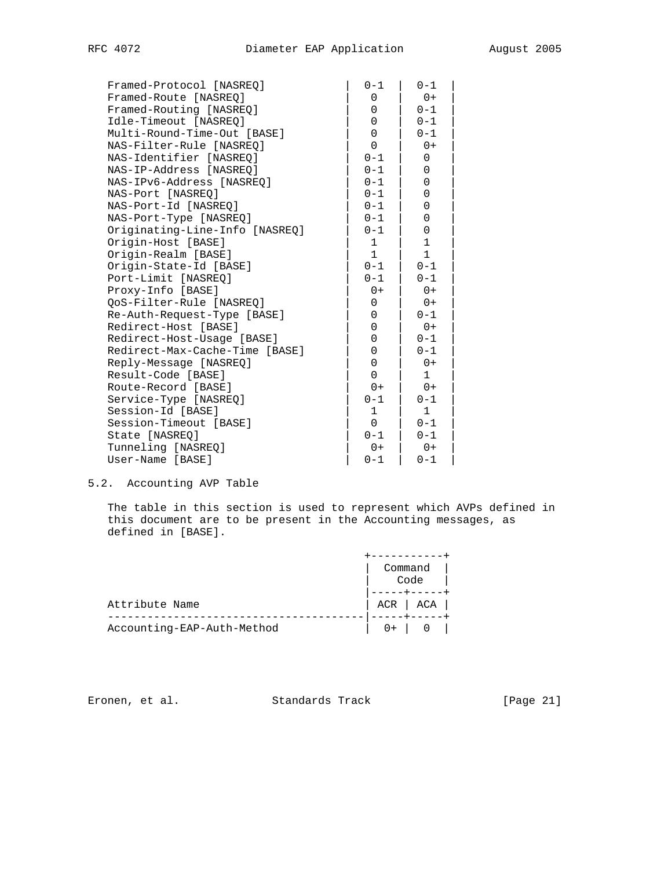| Framed-Protocol [NASREO]       | $0 - 1$     | $0 - 1$      |
|--------------------------------|-------------|--------------|
| Framed-Route [NASREQ]          | 0           | $0+$         |
| Framed-Routing [NASREQ]        | 0           | $0 - 1$      |
| Idle-Timeout [NASREQ]          | 0           | $0 - 1$      |
| Multi-Round-Time-Out [BASE]    | 0           | $0 - 1$      |
| NAS-Filter-Rule [NASREO]       | 0           | $0+$         |
| NAS-Identifier [NASREO]        | $0 - 1$     | $\mathbf 0$  |
| NAS-IP-Address [NASREO]        | $0 - 1$     | 0            |
| NAS-IPv6-Address [NASREQ]      | $0 - 1$     | 0            |
| NAS-Port [NASREQ]              | $0 - 1$     | 0            |
| NAS-Port-Id [NASREQ]           | $0 - 1$     | 0            |
| NAS-Port-Type [NASREQ]         | $0 - 1$     | 0            |
| Originating-Line-Info [NASREQ] | $0 - 1$     | 0            |
| Origin-Host [BASE]             | $\mathbf 1$ | $\mathbf 1$  |
| Origin-Realm [BASE]            | $\mathbf 1$ | $\mathbf{1}$ |
| Origin-State-Id [BASE]         | $0 - 1$     | $0 - 1$      |
| Port-Limit [NASREO]            | $0 - 1$     | $0 - 1$      |
| Proxy-Info [BASE]              | $0+$        | $0+$         |
| QoS-Filter-Rule [NASREQ]       | 0           | $0+$         |
| Re-Auth-Request-Type [BASE]    | 0           | $0 - 1$      |
| Redirect-Host [BASE]           | 0           | $0+$         |
| Redirect-Host-Usage [BASE]     | 0           | $0 - 1$      |
| Redirect-Max-Cache-Time [BASE] | 0           | $0 - 1$      |
| Reply-Message [NASREQ]         | 0           | $0+$         |
| Result-Code [BASE]             | 0           | $\mathbf{1}$ |
| Route-Record [BASE]            | $0+$        | $0+$         |
| Service-Type [NASREO]          | $0 - 1$     | $0 - 1$      |
| Session-Id [BASE]              | 1           | $\mathbf{1}$ |
| Session-Timeout [BASE]         | $\Omega$    | $0 - 1$      |
| State [NASREO]                 | $0 - 1$     | $0 - 1$      |
| Tunneling [NASREO]             | $0+$        | $0+$         |
| User-Name [BASE]               | $0 - 1$     | $0 - 1$      |

## 5.2. Accounting AVP Table

 The table in this section is used to represent which AVPs defined in this document are to be present in the Accounting messages, as defined in [BASE].

|                            | Command     |
|----------------------------|-------------|
|                            | Code        |
| Attribute Name             | $ACR$ $ACA$ |
|                            |             |
| Accounting-EAP-Auth-Method |             |

Eronen, et al. Standards Track [Page 21]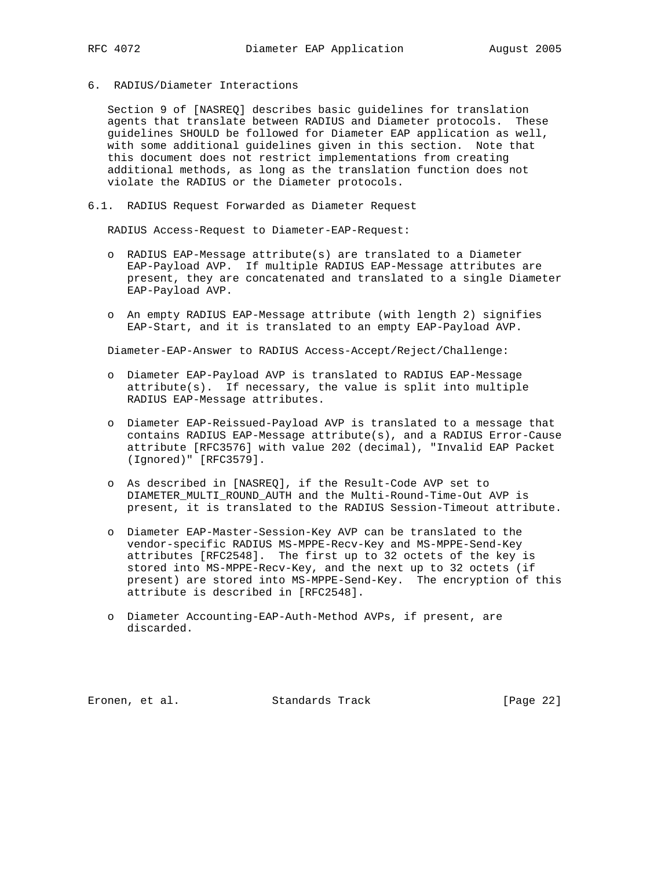- 
- 6. RADIUS/Diameter Interactions

 Section 9 of [NASREQ] describes basic guidelines for translation agents that translate between RADIUS and Diameter protocols. These guidelines SHOULD be followed for Diameter EAP application as well, with some additional guidelines given in this section. Note that this document does not restrict implementations from creating additional methods, as long as the translation function does not violate the RADIUS or the Diameter protocols.

6.1. RADIUS Request Forwarded as Diameter Request

RADIUS Access-Request to Diameter-EAP-Request:

- o RADIUS EAP-Message attribute(s) are translated to a Diameter EAP-Payload AVP. If multiple RADIUS EAP-Message attributes are present, they are concatenated and translated to a single Diameter EAP-Payload AVP.
- o An empty RADIUS EAP-Message attribute (with length 2) signifies EAP-Start, and it is translated to an empty EAP-Payload AVP.

Diameter-EAP-Answer to RADIUS Access-Accept/Reject/Challenge:

- o Diameter EAP-Payload AVP is translated to RADIUS EAP-Message attribute(s). If necessary, the value is split into multiple RADIUS EAP-Message attributes.
- o Diameter EAP-Reissued-Payload AVP is translated to a message that contains RADIUS EAP-Message attribute(s), and a RADIUS Error-Cause attribute [RFC3576] with value 202 (decimal), "Invalid EAP Packet (Ignored)" [RFC3579].
- o As described in [NASREQ], if the Result-Code AVP set to DIAMETER\_MULTI\_ROUND\_AUTH and the Multi-Round-Time-Out AVP is present, it is translated to the RADIUS Session-Timeout attribute.
- o Diameter EAP-Master-Session-Key AVP can be translated to the vendor-specific RADIUS MS-MPPE-Recv-Key and MS-MPPE-Send-Key attributes [RFC2548]. The first up to 32 octets of the key is stored into MS-MPPE-Recv-Key, and the next up to 32 octets (if present) are stored into MS-MPPE-Send-Key. The encryption of this attribute is described in [RFC2548].
- o Diameter Accounting-EAP-Auth-Method AVPs, if present, are discarded.

Eronen, et al. Standards Track [Page 22]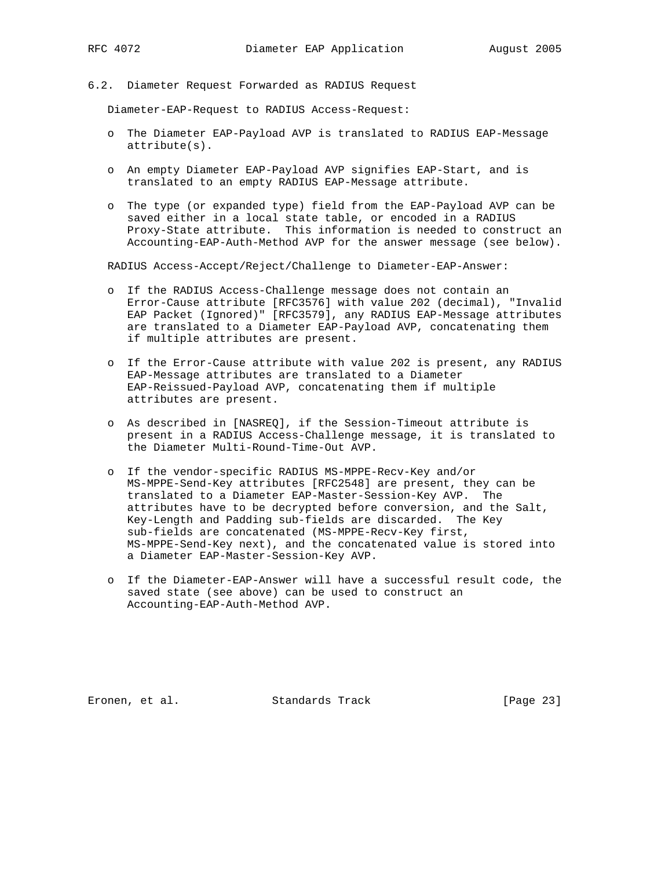6.2. Diameter Request Forwarded as RADIUS Request

Diameter-EAP-Request to RADIUS Access-Request:

- o The Diameter EAP-Payload AVP is translated to RADIUS EAP-Message attribute(s).
- o An empty Diameter EAP-Payload AVP signifies EAP-Start, and is translated to an empty RADIUS EAP-Message attribute.
- o The type (or expanded type) field from the EAP-Payload AVP can be saved either in a local state table, or encoded in a RADIUS Proxy-State attribute. This information is needed to construct an Accounting-EAP-Auth-Method AVP for the answer message (see below).

RADIUS Access-Accept/Reject/Challenge to Diameter-EAP-Answer:

- o If the RADIUS Access-Challenge message does not contain an Error-Cause attribute [RFC3576] with value 202 (decimal), "Invalid EAP Packet (Ignored)" [RFC3579], any RADIUS EAP-Message attributes are translated to a Diameter EAP-Payload AVP, concatenating them if multiple attributes are present.
- o If the Error-Cause attribute with value 202 is present, any RADIUS EAP-Message attributes are translated to a Diameter EAP-Reissued-Payload AVP, concatenating them if multiple attributes are present.
- o As described in [NASREQ], if the Session-Timeout attribute is present in a RADIUS Access-Challenge message, it is translated to the Diameter Multi-Round-Time-Out AVP.
- o If the vendor-specific RADIUS MS-MPPE-Recv-Key and/or MS-MPPE-Send-Key attributes [RFC2548] are present, they can be translated to a Diameter EAP-Master-Session-Key AVP. The attributes have to be decrypted before conversion, and the Salt, Key-Length and Padding sub-fields are discarded. The Key sub-fields are concatenated (MS-MPPE-Recv-Key first, MS-MPPE-Send-Key next), and the concatenated value is stored into a Diameter EAP-Master-Session-Key AVP.
- o If the Diameter-EAP-Answer will have a successful result code, the saved state (see above) can be used to construct an Accounting-EAP-Auth-Method AVP.

Eronen, et al. Standards Track [Page 23]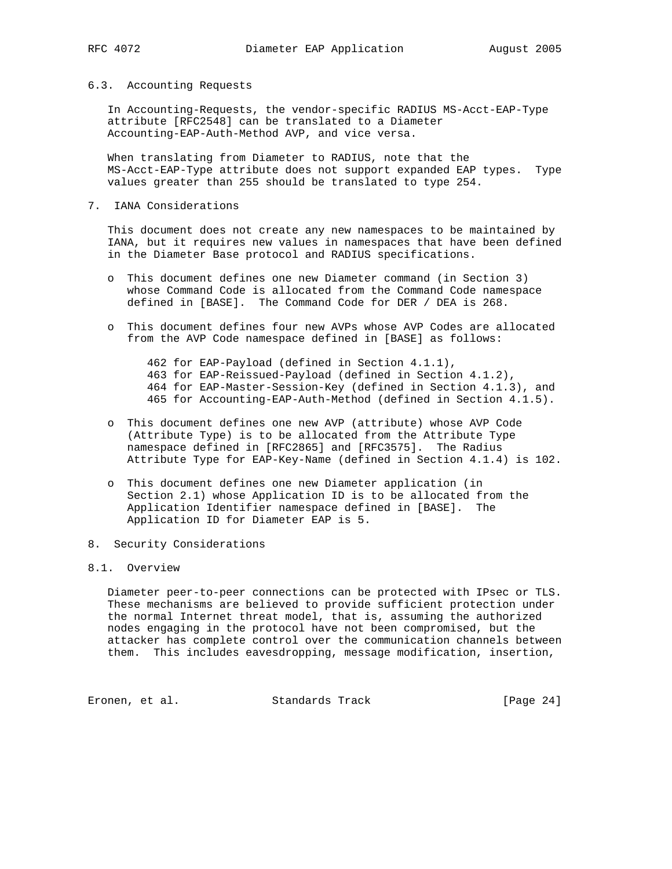#### 6.3. Accounting Requests

 In Accounting-Requests, the vendor-specific RADIUS MS-Acct-EAP-Type attribute [RFC2548] can be translated to a Diameter Accounting-EAP-Auth-Method AVP, and vice versa.

 When translating from Diameter to RADIUS, note that the MS-Acct-EAP-Type attribute does not support expanded EAP types. Type values greater than 255 should be translated to type 254.

7. IANA Considerations

 This document does not create any new namespaces to be maintained by IANA, but it requires new values in namespaces that have been defined in the Diameter Base protocol and RADIUS specifications.

- o This document defines one new Diameter command (in Section 3) whose Command Code is allocated from the Command Code namespace defined in [BASE]. The Command Code for DER / DEA is 268.
- o This document defines four new AVPs whose AVP Codes are allocated from the AVP Code namespace defined in [BASE] as follows:

 462 for EAP-Payload (defined in Section 4.1.1), 463 for EAP-Reissued-Payload (defined in Section 4.1.2), 464 for EAP-Master-Session-Key (defined in Section 4.1.3), and 465 for Accounting-EAP-Auth-Method (defined in Section 4.1.5).

- o This document defines one new AVP (attribute) whose AVP Code (Attribute Type) is to be allocated from the Attribute Type namespace defined in [RFC2865] and [RFC3575]. The Radius Attribute Type for EAP-Key-Name (defined in Section 4.1.4) is 102.
- o This document defines one new Diameter application (in Section 2.1) whose Application ID is to be allocated from the Application Identifier namespace defined in [BASE]. The Application ID for Diameter EAP is 5.
- 8. Security Considerations

#### 8.1. Overview

 Diameter peer-to-peer connections can be protected with IPsec or TLS. These mechanisms are believed to provide sufficient protection under the normal Internet threat model, that is, assuming the authorized nodes engaging in the protocol have not been compromised, but the attacker has complete control over the communication channels between them. This includes eavesdropping, message modification, insertion,

Eronen, et al. Standards Track [Page 24]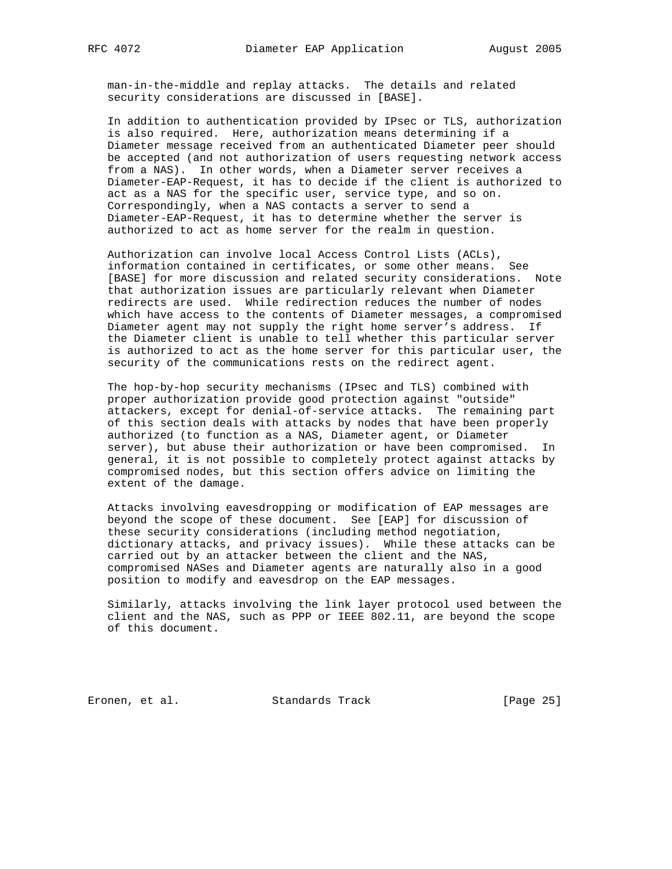man-in-the-middle and replay attacks. The details and related security considerations are discussed in [BASE].

 In addition to authentication provided by IPsec or TLS, authorization is also required. Here, authorization means determining if a Diameter message received from an authenticated Diameter peer should be accepted (and not authorization of users requesting network access from a NAS). In other words, when a Diameter server receives a Diameter-EAP-Request, it has to decide if the client is authorized to act as a NAS for the specific user, service type, and so on. Correspondingly, when a NAS contacts a server to send a Diameter-EAP-Request, it has to determine whether the server is authorized to act as home server for the realm in question.

 Authorization can involve local Access Control Lists (ACLs), information contained in certificates, or some other means. See [BASE] for more discussion and related security considerations. Note that authorization issues are particularly relevant when Diameter redirects are used. While redirection reduces the number of nodes which have access to the contents of Diameter messages, a compromised Diameter agent may not supply the right home server's address. If the Diameter client is unable to tell whether this particular server is authorized to act as the home server for this particular user, the security of the communications rests on the redirect agent.

 The hop-by-hop security mechanisms (IPsec and TLS) combined with proper authorization provide good protection against "outside" attackers, except for denial-of-service attacks. The remaining part of this section deals with attacks by nodes that have been properly authorized (to function as a NAS, Diameter agent, or Diameter server), but abuse their authorization or have been compromised. In general, it is not possible to completely protect against attacks by compromised nodes, but this section offers advice on limiting the extent of the damage.

 Attacks involving eavesdropping or modification of EAP messages are beyond the scope of these document. See [EAP] for discussion of these security considerations (including method negotiation, dictionary attacks, and privacy issues). While these attacks can be carried out by an attacker between the client and the NAS, compromised NASes and Diameter agents are naturally also in a good position to modify and eavesdrop on the EAP messages.

 Similarly, attacks involving the link layer protocol used between the client and the NAS, such as PPP or IEEE 802.11, are beyond the scope of this document.

Eronen, et al. Standards Track [Page 25]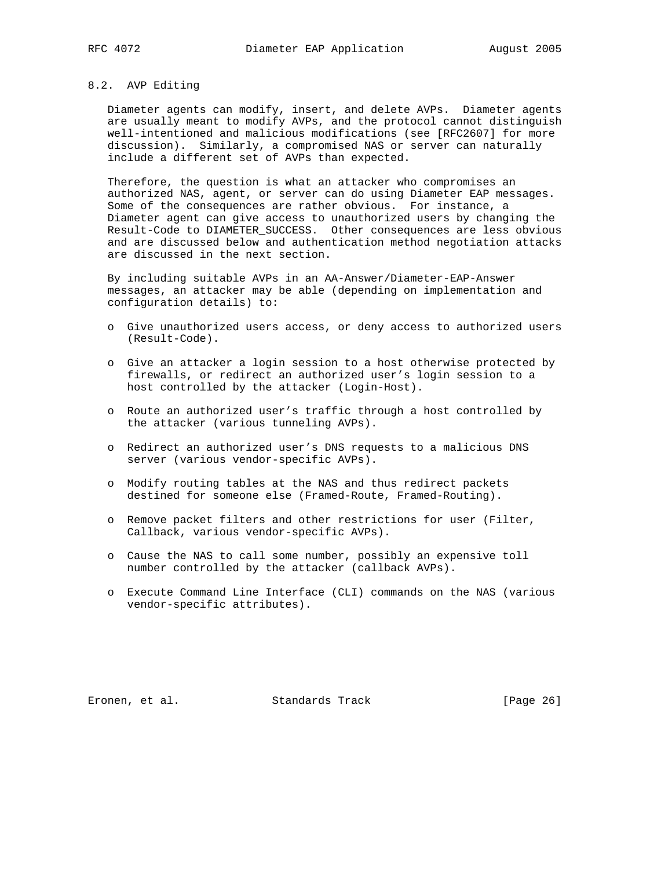#### 8.2. AVP Editing

 Diameter agents can modify, insert, and delete AVPs. Diameter agents are usually meant to modify AVPs, and the protocol cannot distinguish well-intentioned and malicious modifications (see [RFC2607] for more discussion). Similarly, a compromised NAS or server can naturally include a different set of AVPs than expected.

 Therefore, the question is what an attacker who compromises an authorized NAS, agent, or server can do using Diameter EAP messages. Some of the consequences are rather obvious. For instance, a Diameter agent can give access to unauthorized users by changing the Result-Code to DIAMETER\_SUCCESS. Other consequences are less obvious and are discussed below and authentication method negotiation attacks are discussed in the next section.

 By including suitable AVPs in an AA-Answer/Diameter-EAP-Answer messages, an attacker may be able (depending on implementation and configuration details) to:

- o Give unauthorized users access, or deny access to authorized users (Result-Code).
- o Give an attacker a login session to a host otherwise protected by firewalls, or redirect an authorized user's login session to a host controlled by the attacker (Login-Host).
- o Route an authorized user's traffic through a host controlled by the attacker (various tunneling AVPs).
- o Redirect an authorized user's DNS requests to a malicious DNS server (various vendor-specific AVPs).
- o Modify routing tables at the NAS and thus redirect packets destined for someone else (Framed-Route, Framed-Routing).
- o Remove packet filters and other restrictions for user (Filter, Callback, various vendor-specific AVPs).
- o Cause the NAS to call some number, possibly an expensive toll number controlled by the attacker (callback AVPs).
- o Execute Command Line Interface (CLI) commands on the NAS (various vendor-specific attributes).

Eronen, et al. Standards Track [Page 26]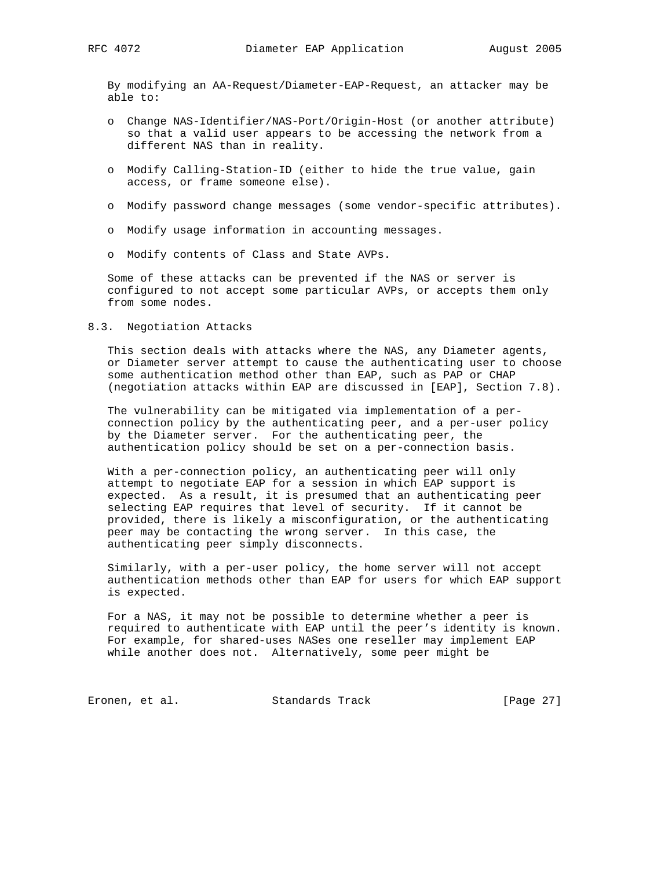By modifying an AA-Request/Diameter-EAP-Request, an attacker may be able to:

- o Change NAS-Identifier/NAS-Port/Origin-Host (or another attribute) so that a valid user appears to be accessing the network from a different NAS than in reality.
- o Modify Calling-Station-ID (either to hide the true value, gain access, or frame someone else).
- o Modify password change messages (some vendor-specific attributes).
- o Modify usage information in accounting messages.
- o Modify contents of Class and State AVPs.

 Some of these attacks can be prevented if the NAS or server is configured to not accept some particular AVPs, or accepts them only from some nodes.

#### 8.3. Negotiation Attacks

 This section deals with attacks where the NAS, any Diameter agents, or Diameter server attempt to cause the authenticating user to choose some authentication method other than EAP, such as PAP or CHAP (negotiation attacks within EAP are discussed in [EAP], Section 7.8).

 The vulnerability can be mitigated via implementation of a per connection policy by the authenticating peer, and a per-user policy by the Diameter server. For the authenticating peer, the authentication policy should be set on a per-connection basis.

 With a per-connection policy, an authenticating peer will only attempt to negotiate EAP for a session in which EAP support is expected. As a result, it is presumed that an authenticating peer selecting EAP requires that level of security. If it cannot be provided, there is likely a misconfiguration, or the authenticating peer may be contacting the wrong server. In this case, the authenticating peer simply disconnects.

 Similarly, with a per-user policy, the home server will not accept authentication methods other than EAP for users for which EAP support is expected.

 For a NAS, it may not be possible to determine whether a peer is required to authenticate with EAP until the peer's identity is known. For example, for shared-uses NASes one reseller may implement EAP while another does not. Alternatively, some peer might be

Eronen, et al. Standards Track [Page 27]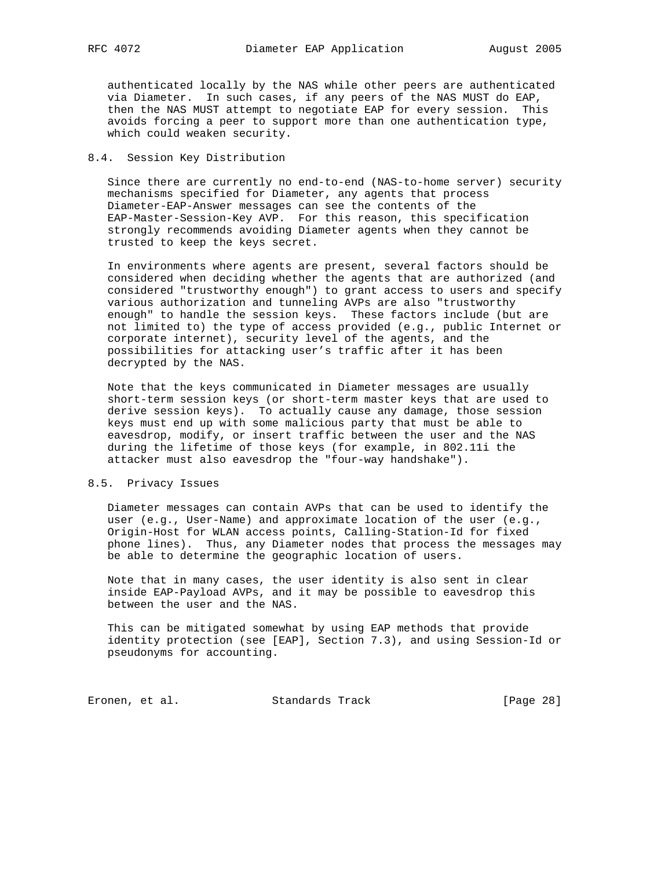authenticated locally by the NAS while other peers are authenticated via Diameter. In such cases, if any peers of the NAS MUST do EAP, then the NAS MUST attempt to negotiate EAP for every session. This avoids forcing a peer to support more than one authentication type, which could weaken security.

#### 8.4. Session Key Distribution

 Since there are currently no end-to-end (NAS-to-home server) security mechanisms specified for Diameter, any agents that process Diameter-EAP-Answer messages can see the contents of the EAP-Master-Session-Key AVP. For this reason, this specification strongly recommends avoiding Diameter agents when they cannot be trusted to keep the keys secret.

 In environments where agents are present, several factors should be considered when deciding whether the agents that are authorized (and considered "trustworthy enough") to grant access to users and specify various authorization and tunneling AVPs are also "trustworthy enough" to handle the session keys. These factors include (but are not limited to) the type of access provided (e.g., public Internet or corporate internet), security level of the agents, and the possibilities for attacking user's traffic after it has been decrypted by the NAS.

 Note that the keys communicated in Diameter messages are usually short-term session keys (or short-term master keys that are used to derive session keys). To actually cause any damage, those session keys must end up with some malicious party that must be able to eavesdrop, modify, or insert traffic between the user and the NAS during the lifetime of those keys (for example, in 802.11i the attacker must also eavesdrop the "four-way handshake").

#### 8.5. Privacy Issues

 Diameter messages can contain AVPs that can be used to identify the user (e.g., User-Name) and approximate location of the user (e.g., Origin-Host for WLAN access points, Calling-Station-Id for fixed phone lines). Thus, any Diameter nodes that process the messages may be able to determine the geographic location of users.

 Note that in many cases, the user identity is also sent in clear inside EAP-Payload AVPs, and it may be possible to eavesdrop this between the user and the NAS.

 This can be mitigated somewhat by using EAP methods that provide identity protection (see [EAP], Section 7.3), and using Session-Id or pseudonyms for accounting.

Eronen, et al. Standards Track [Page 28]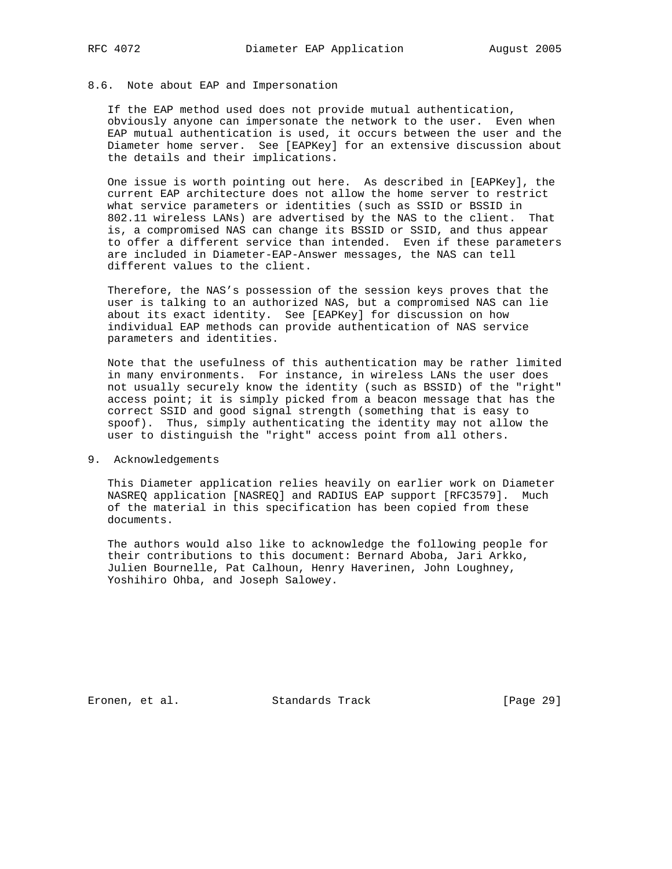#### 8.6. Note about EAP and Impersonation

 If the EAP method used does not provide mutual authentication, obviously anyone can impersonate the network to the user. Even when EAP mutual authentication is used, it occurs between the user and the Diameter home server. See [EAPKey] for an extensive discussion about the details and their implications.

 One issue is worth pointing out here. As described in [EAPKey], the current EAP architecture does not allow the home server to restrict what service parameters or identities (such as SSID or BSSID in 802.11 wireless LANs) are advertised by the NAS to the client. That is, a compromised NAS can change its BSSID or SSID, and thus appear to offer a different service than intended. Even if these parameters are included in Diameter-EAP-Answer messages, the NAS can tell different values to the client.

 Therefore, the NAS's possession of the session keys proves that the user is talking to an authorized NAS, but a compromised NAS can lie about its exact identity. See [EAPKey] for discussion on how individual EAP methods can provide authentication of NAS service parameters and identities.

 Note that the usefulness of this authentication may be rather limited in many environments. For instance, in wireless LANs the user does not usually securely know the identity (such as BSSID) of the "right" access point; it is simply picked from a beacon message that has the correct SSID and good signal strength (something that is easy to spoof). Thus, simply authenticating the identity may not allow the user to distinguish the "right" access point from all others.

9. Acknowledgements

 This Diameter application relies heavily on earlier work on Diameter NASREQ application [NASREQ] and RADIUS EAP support [RFC3579]. Much of the material in this specification has been copied from these documents.

 The authors would also like to acknowledge the following people for their contributions to this document: Bernard Aboba, Jari Arkko, Julien Bournelle, Pat Calhoun, Henry Haverinen, John Loughney, Yoshihiro Ohba, and Joseph Salowey.

Eronen, et al. Standards Track [Page 29]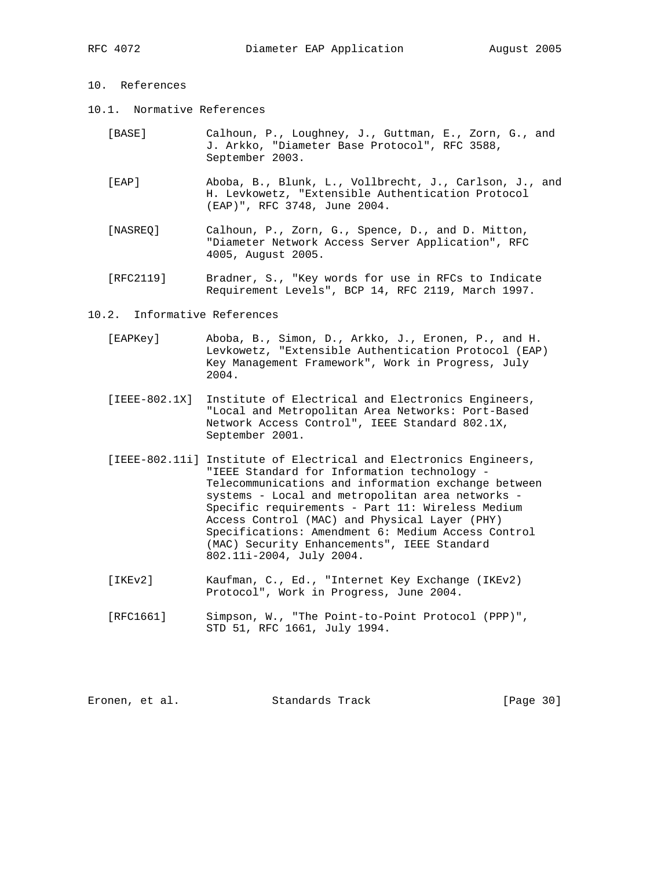## 10. References

- 10.1. Normative References
	- [BASE] Calhoun, P., Loughney, J., Guttman, E., Zorn, G., and J. Arkko, "Diameter Base Protocol", RFC 3588, September 2003.
	- [EAP] Aboba, B., Blunk, L., Vollbrecht, J., Carlson, J., and H. Levkowetz, "Extensible Authentication Protocol (EAP)", RFC 3748, June 2004.
	- [NASREQ] Calhoun, P., Zorn, G., Spence, D., and D. Mitton, "Diameter Network Access Server Application", RFC 4005, August 2005.
	- [RFC2119] Bradner, S., "Key words for use in RFCs to Indicate Requirement Levels", BCP 14, RFC 2119, March 1997.
- 10.2. Informative References
	- [EAPKey] Aboba, B., Simon, D., Arkko, J., Eronen, P., and H. Levkowetz, "Extensible Authentication Protocol (EAP) Key Management Framework", Work in Progress, July 2004.
	- [IEEE-802.1X] Institute of Electrical and Electronics Engineers, "Local and Metropolitan Area Networks: Port-Based Network Access Control", IEEE Standard 802.1X, September 2001.
	- [IEEE-802.11i] Institute of Electrical and Electronics Engineers, "IEEE Standard for Information technology - Telecommunications and information exchange between systems - Local and metropolitan area networks - Specific requirements - Part 11: Wireless Medium Access Control (MAC) and Physical Layer (PHY) Specifications: Amendment 6: Medium Access Control (MAC) Security Enhancements", IEEE Standard 802.11i-2004, July 2004.
	- [IKEv2] Kaufman, C., Ed., "Internet Key Exchange (IKEv2) Protocol", Work in Progress, June 2004.
	- [RFC1661] Simpson, W., "The Point-to-Point Protocol (PPP)", STD 51, RFC 1661, July 1994.

Eronen, et al. Standards Track [Page 30]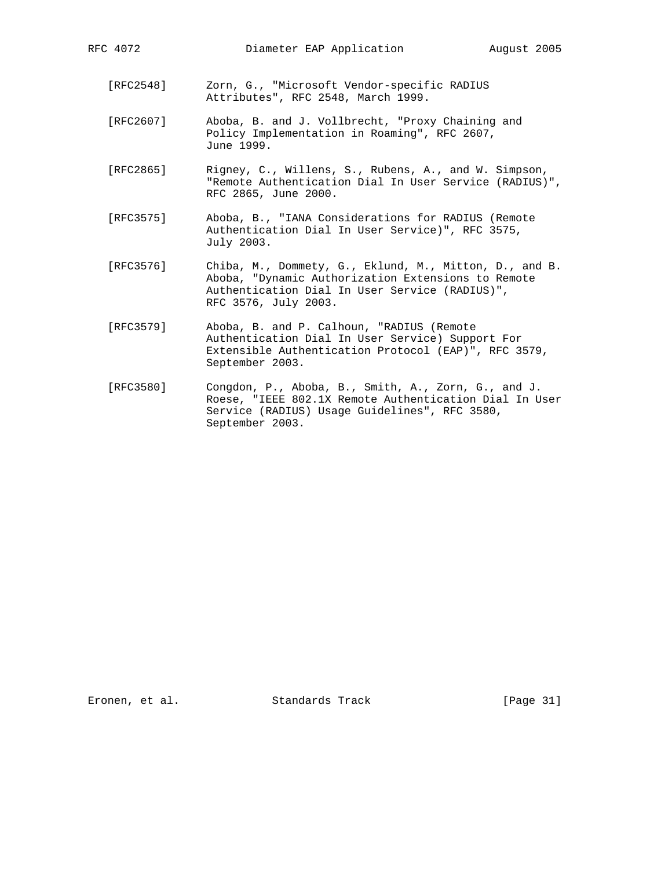- [RFC2548] Zorn, G., "Microsoft Vendor-specific RADIUS Attributes", RFC 2548, March 1999.
- [RFC2607] Aboba, B. and J. Vollbrecht, "Proxy Chaining and Policy Implementation in Roaming", RFC 2607, June 1999.
- [RFC2865] Rigney, C., Willens, S., Rubens, A., and W. Simpson, "Remote Authentication Dial In User Service (RADIUS)", RFC 2865, June 2000.
- [RFC3575] Aboba, B., "IANA Considerations for RADIUS (Remote Authentication Dial In User Service)", RFC 3575, July 2003.
- [RFC3576] Chiba, M., Dommety, G., Eklund, M., Mitton, D., and B. Aboba, "Dynamic Authorization Extensions to Remote Authentication Dial In User Service (RADIUS)", RFC 3576, July 2003.
- [RFC3579] Aboba, B. and P. Calhoun, "RADIUS (Remote Authentication Dial In User Service) Support For Extensible Authentication Protocol (EAP)", RFC 3579, September 2003.
- [RFC3580] Congdon, P., Aboba, B., Smith, A., Zorn, G., and J. Roese, "IEEE 802.1X Remote Authentication Dial In User Service (RADIUS) Usage Guidelines", RFC 3580, September 2003.

Eronen, et al. Standards Track [Page 31]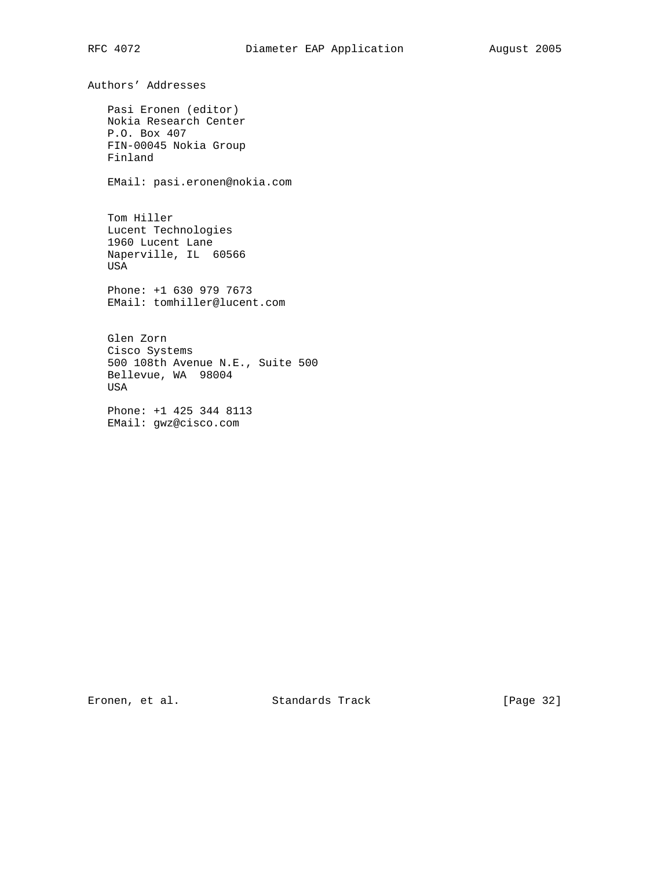Authors' Addresses Pasi Eronen (editor) Nokia Research Center P.O. Box 407 FIN-00045 Nokia Group Finland EMail: pasi.eronen@nokia.com Tom Hiller Lucent Technologies 1960 Lucent Lane Naperville, IL 60566 USA Phone: +1 630 979 7673 EMail: tomhiller@lucent.com Glen Zorn Cisco Systems 500 108th Avenue N.E., Suite 500 Bellevue, WA 98004 USA Phone: +1 425 344 8113 EMail: gwz@cisco.com

Eronen, et al. Standards Track [Page 32]